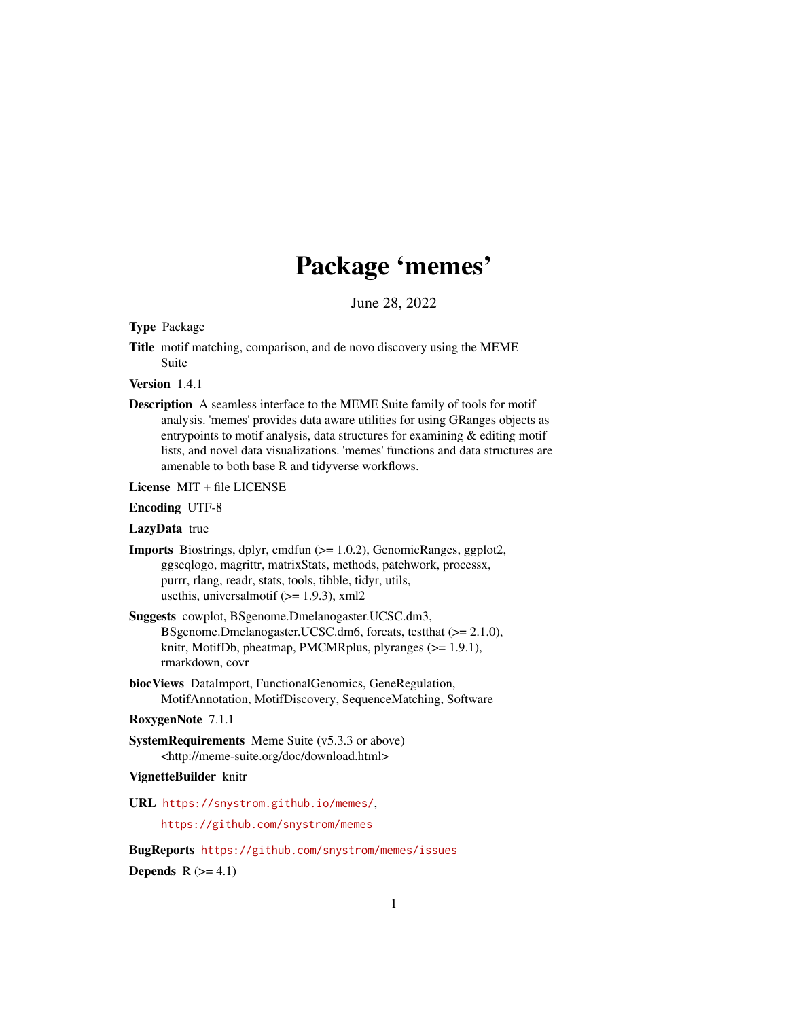# Package 'memes'

June 28, 2022

<span id="page-0-0"></span>Type Package

Title motif matching, comparison, and de novo discovery using the MEME Suite

Version 1.4.1

Description A seamless interface to the MEME Suite family of tools for motif analysis. 'memes' provides data aware utilities for using GRanges objects as entrypoints to motif analysis, data structures for examining & editing motif lists, and novel data visualizations. 'memes' functions and data structures are amenable to both base R and tidyverse workflows.

License MIT + file LICENSE

#### Encoding UTF-8

LazyData true

- Imports Biostrings, dplyr, cmdfun (>= 1.0.2), GenomicRanges, ggplot2, ggseqlogo, magrittr, matrixStats, methods, patchwork, processx, purrr, rlang, readr, stats, tools, tibble, tidyr, utils, usethis, universalmotif  $(>= 1.9.3)$ , xml2
- Suggests cowplot, BSgenome.Dmelanogaster.UCSC.dm3, BSgenome.Dmelanogaster.UCSC.dm6, forcats, testthat (>= 2.1.0), knitr, MotifDb, pheatmap, PMCMRplus, plyranges (>= 1.9.1), rmarkdown, covr
- biocViews DataImport, FunctionalGenomics, GeneRegulation, MotifAnnotation, MotifDiscovery, SequenceMatching, Software

#### RoxygenNote 7.1.1

SystemRequirements Meme Suite (v5.3.3 or above) <http://meme-suite.org/doc/download.html>

#### VignetteBuilder knitr

URL <https://snystrom.github.io/memes/>, <https://github.com/snystrom/memes>

BugReports <https://github.com/snystrom/memes/issues> Depends  $R$  ( $>= 4.1$ )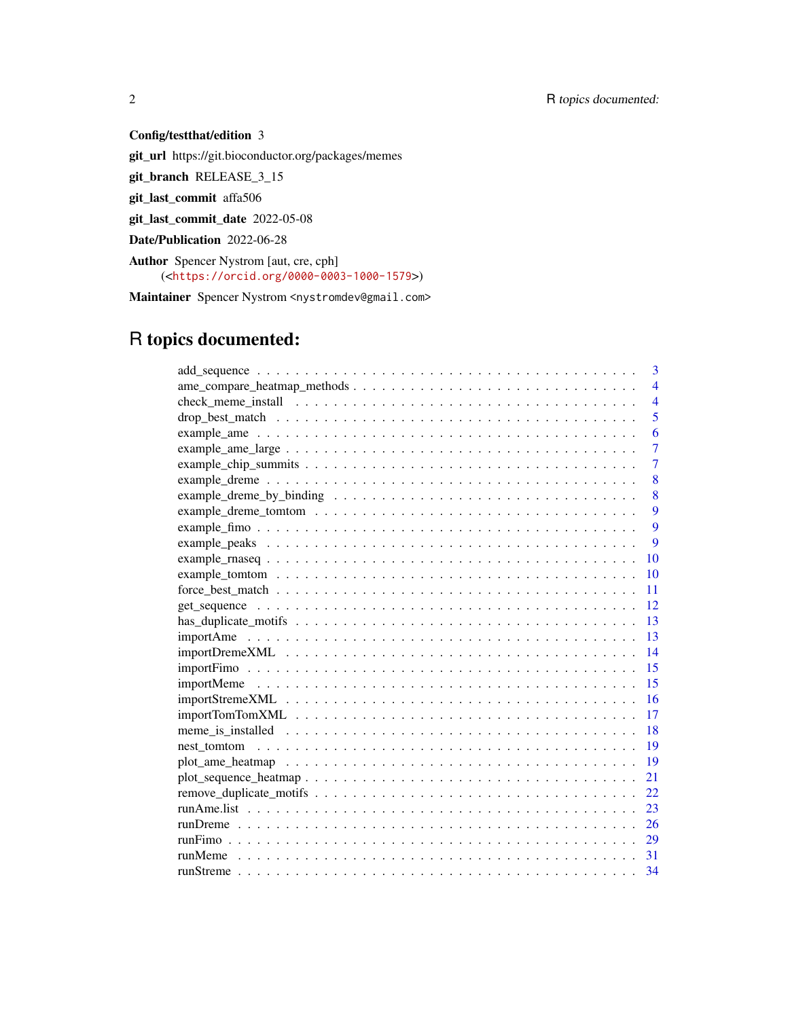### Config/testthat/edition 3

git\_url https://git.bioconductor.org/packages/memes

git\_branch RELEASE\_3\_15

git\_last\_commit affa506

git\_last\_commit\_date 2022-05-08

Date/Publication 2022-06-28

Author Spencer Nystrom [aut, cre, cph] (<<https://orcid.org/0000-0003-1000-1579>>)

Maintainer Spencer Nystrom <nystromdev@gmail.com>

## R topics documented:

| 3                                                                                                                                     |
|---------------------------------------------------------------------------------------------------------------------------------------|
| $\overline{\mathbf{4}}$                                                                                                               |
| $\overline{4}$                                                                                                                        |
| 5                                                                                                                                     |
| 6                                                                                                                                     |
| $\overline{7}$<br>example_ame_large $\dots \dots \dots \dots \dots \dots \dots \dots \dots \dots \dots \dots \dots \dots \dots \dots$ |
| $\overline{7}$                                                                                                                        |
| 8                                                                                                                                     |
| 8                                                                                                                                     |
| $\mathbf Q$                                                                                                                           |
| $\mathbf Q$                                                                                                                           |
| 9                                                                                                                                     |
| 10                                                                                                                                    |
| 10                                                                                                                                    |
| 11                                                                                                                                    |
| 12                                                                                                                                    |
| 13                                                                                                                                    |
| 13                                                                                                                                    |
| 14                                                                                                                                    |
| 15                                                                                                                                    |
| 15                                                                                                                                    |
| 16                                                                                                                                    |
| 17                                                                                                                                    |
| 18                                                                                                                                    |
| 19                                                                                                                                    |
| 19                                                                                                                                    |
| 21                                                                                                                                    |
| 22                                                                                                                                    |
| 23                                                                                                                                    |
| 26                                                                                                                                    |
| 29                                                                                                                                    |
| 31                                                                                                                                    |
| 34                                                                                                                                    |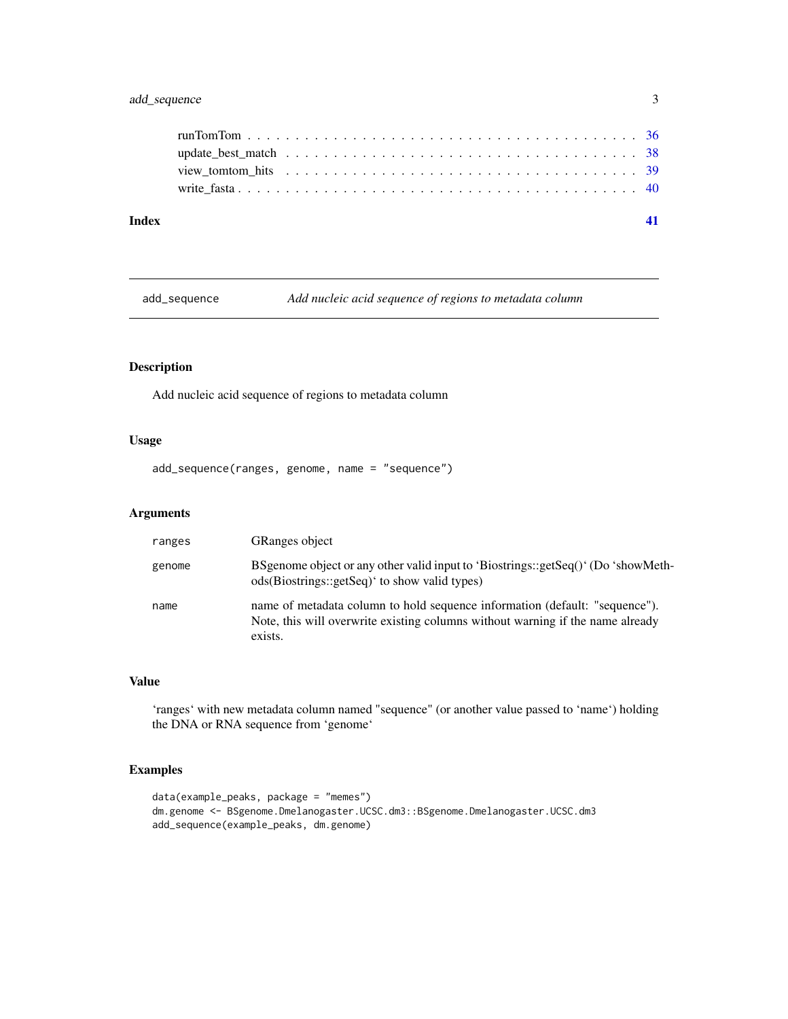#### <span id="page-2-0"></span>add\_sequence 3

add\_sequence *Add nucleic acid sequence of regions to metadata column*

#### Description

Add nucleic acid sequence of regions to metadata column

#### Usage

add\_sequence(ranges, genome, name = "sequence")

#### Arguments

| ranges | <b>GRanges object</b>                                                                                                                                                    |
|--------|--------------------------------------------------------------------------------------------------------------------------------------------------------------------------|
| genome | BSgenome object or any other valid input to 'Biostrings::getSeq()' (Do 'showMeth-<br>ods(Biostrings::getSeq)' to show valid types)                                       |
| name   | name of metadata column to hold sequence information (default: "sequence").<br>Note, this will overwrite existing columns without warning if the name already<br>exists. |

#### Value

'ranges' with new metadata column named "sequence" (or another value passed to 'name') holding the DNA or RNA sequence from 'genome'

#### Examples

```
data(example_peaks, package = "memes")
dm.genome <- BSgenome.Dmelanogaster.UCSC.dm3::BSgenome.Dmelanogaster.UCSC.dm3
add_sequence(example_peaks, dm.genome)
```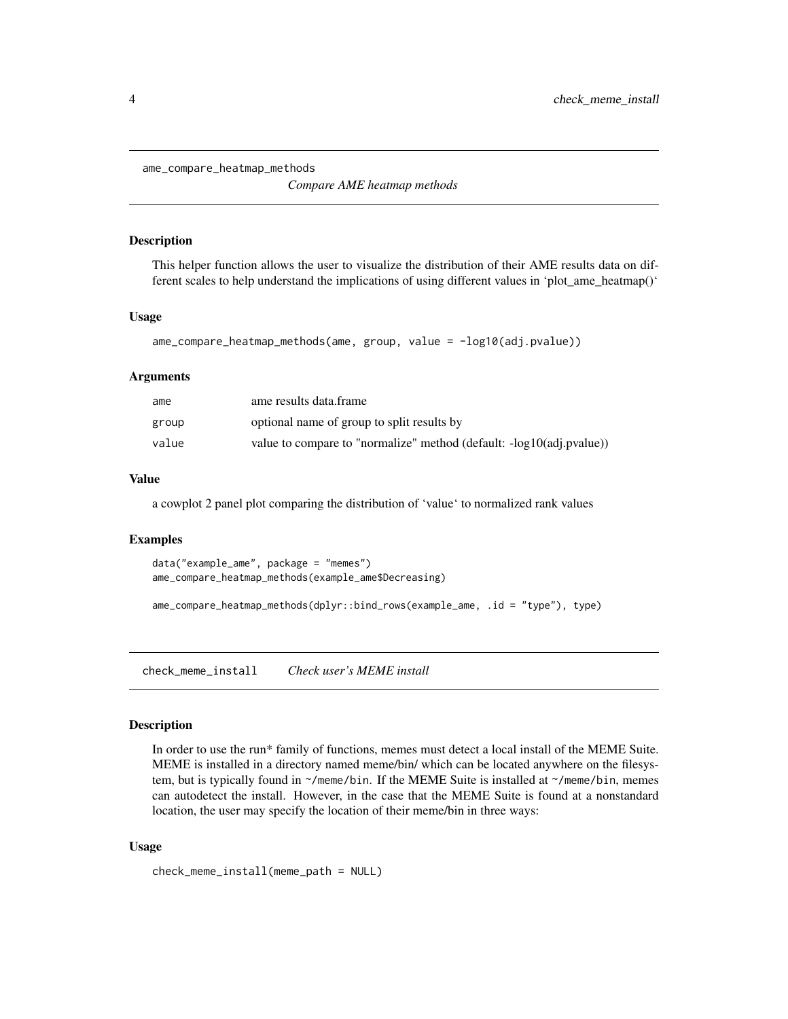<span id="page-3-0"></span>ame\_compare\_heatmap\_methods

*Compare AME heatmap methods*

#### Description

This helper function allows the user to visualize the distribution of their AME results data on different scales to help understand the implications of using different values in 'plot\_ame\_heatmap()'

#### Usage

```
ame_compare_heatmap_methods(ame, group, value = -log10(adj.pvalue))
```
#### Arguments

| ame   | ame results data.frame                                                  |
|-------|-------------------------------------------------------------------------|
| group | optional name of group to split results by                              |
| value | value to compare to "normalize" method (default: $-log10$ (adj.pvalue)) |

#### Value

a cowplot 2 panel plot comparing the distribution of 'value' to normalized rank values

#### Examples

```
data("example_ame", package = "memes")
ame_compare_heatmap_methods(example_ame$Decreasing)
```

```
ame_compare_heatmap_methods(dplyr::bind_rows(example_ame, .id = "type"), type)
```
<span id="page-3-1"></span>check\_meme\_install *Check user's MEME install*

#### Description

In order to use the run\* family of functions, memes must detect a local install of the MEME Suite. MEME is installed in a directory named meme/bin/ which can be located anywhere on the filesystem, but is typically found in  $\gamma$ /meme/bin. If the MEME Suite is installed at  $\gamma$ /meme/bin, memes can autodetect the install. However, in the case that the MEME Suite is found at a nonstandard location, the user may specify the location of their meme/bin in three ways:

#### Usage

```
check_meme_install(meme_path = NULL)
```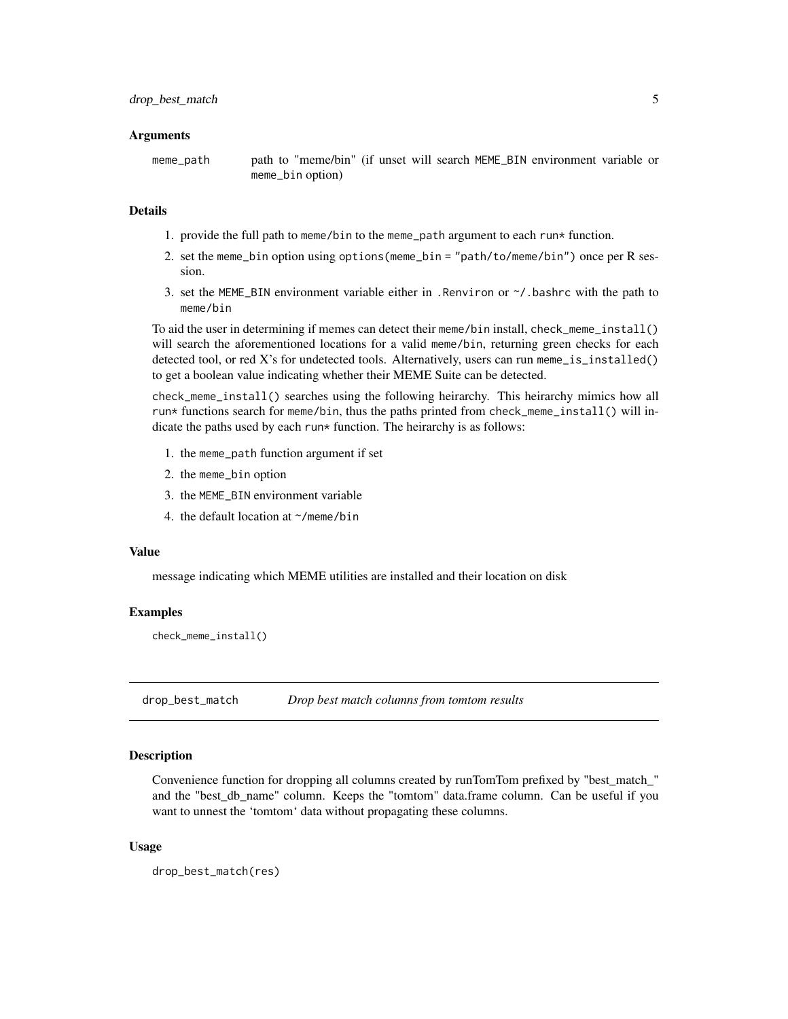#### <span id="page-4-0"></span>Arguments

meme\_path path to "meme/bin" (if unset will search MEME\_BIN environment variable or meme\_bin option)

#### Details

- 1. provide the full path to meme/bin to the meme\_path argument to each run\* function.
- 2. set the meme\_bin option using options(meme\_bin = "path/to/meme/bin") once per R session.
- 3. set the MEME\_BIN environment variable either in . Renviron or  $\gamma$ , bashrc with the path to meme/bin

To aid the user in determining if memes can detect their meme/bin install, check\_meme\_install() will search the aforementioned locations for a valid meme/bin, returning green checks for each detected tool, or red X's for undetected tools. Alternatively, users can run meme\_is\_installed() to get a boolean value indicating whether their MEME Suite can be detected.

check\_meme\_install() searches using the following heirarchy. This heirarchy mimics how all run\* functions search for meme/bin, thus the paths printed from check\_meme\_install() will indicate the paths used by each run $*$  function. The heirarchy is as follows:

- 1. the meme\_path function argument if set
- 2. the meme\_bin option
- 3. the MEME\_BIN environment variable
- 4. the default location at ~/meme/bin

#### Value

message indicating which MEME utilities are installed and their location on disk

#### Examples

check\_meme\_install()

drop\_best\_match *Drop best match columns from tomtom results*

#### Description

Convenience function for dropping all columns created by runTomTom prefixed by "best\_match\_" and the "best\_db\_name" column. Keeps the "tomtom" data.frame column. Can be useful if you want to unnest the 'tomtom' data without propagating these columns.

#### Usage

drop\_best\_match(res)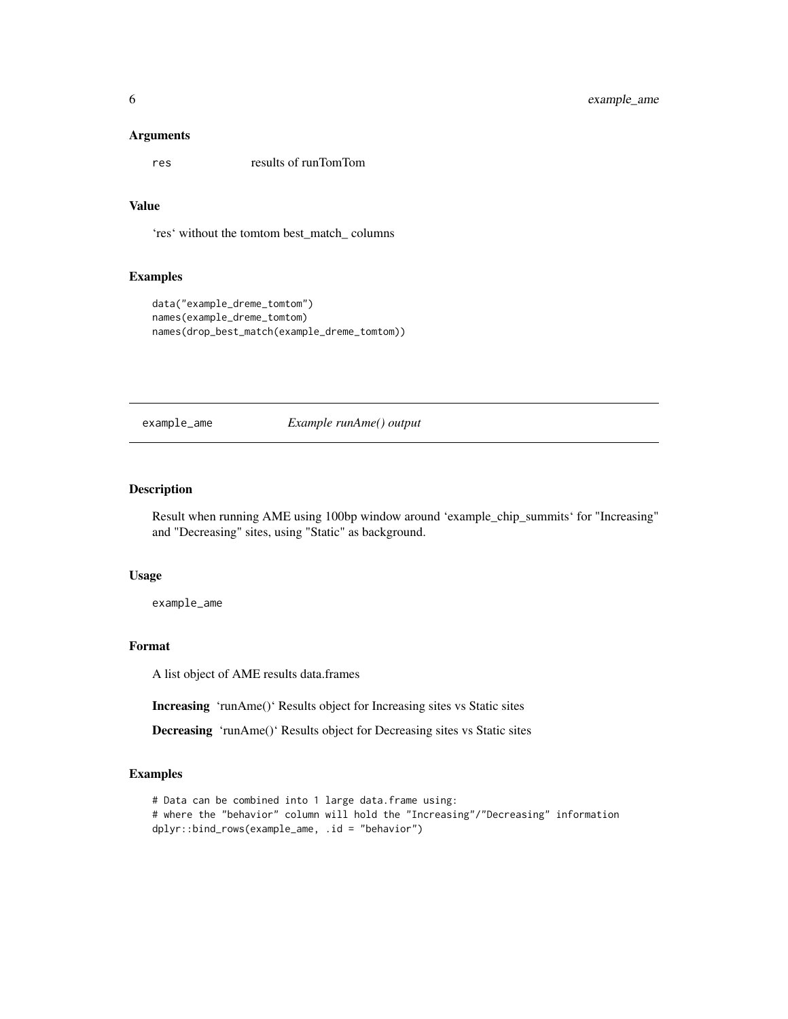#### <span id="page-5-0"></span>Arguments

res results of runTomTom

#### Value

'res' without the tomtom best\_match\_ columns

#### Examples

```
data("example_dreme_tomtom")
names(example_dreme_tomtom)
names(drop_best_match(example_dreme_tomtom))
```
example\_ame *Example runAme() output*

#### Description

Result when running AME using 100bp window around 'example\_chip\_summits' for "Increasing" and "Decreasing" sites, using "Static" as background.

#### Usage

example\_ame

#### Format

A list object of AME results data.frames

Increasing 'runAme()' Results object for Increasing sites vs Static sites

Decreasing 'runAme()' Results object for Decreasing sites vs Static sites

#### Examples

```
# Data can be combined into 1 large data.frame using:
# where the "behavior" column will hold the "Increasing"/"Decreasing" information
dplyr::bind_rows(example_ame, .id = "behavior")
```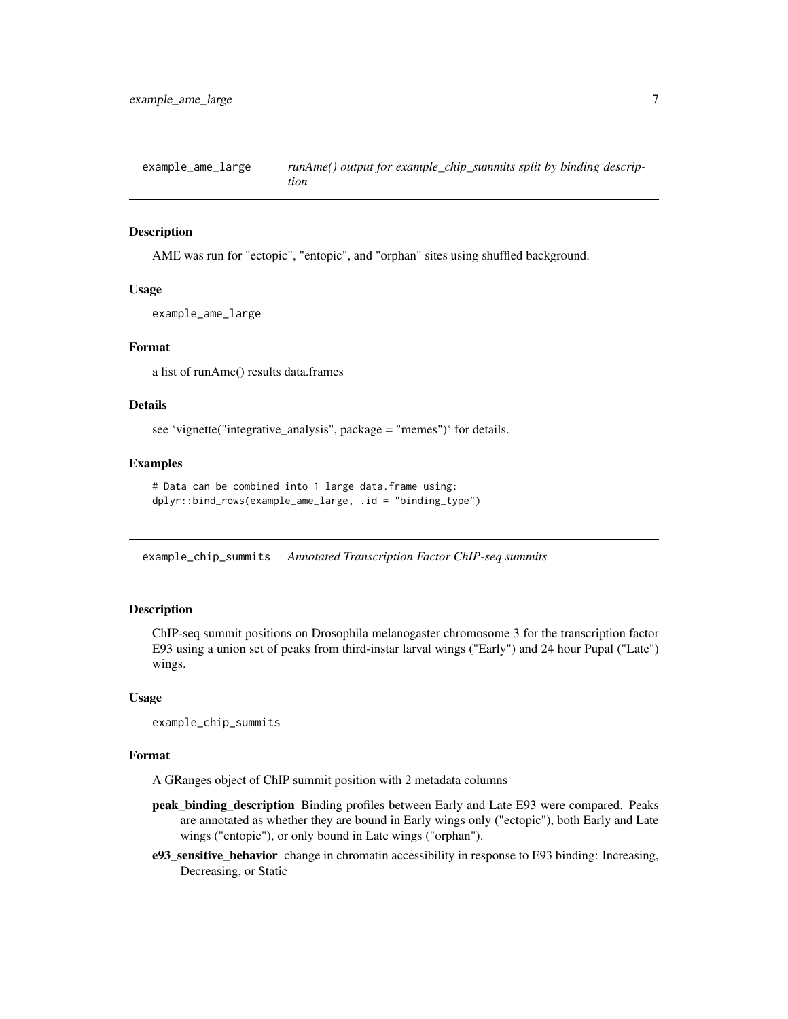<span id="page-6-0"></span>example\_ame\_large *runAme() output for example\_chip\_summits split by binding description*

#### Description

AME was run for "ectopic", "entopic", and "orphan" sites using shuffled background.

#### Usage

example\_ame\_large

#### Format

a list of runAme() results data.frames

#### Details

see 'vignette("integrative\_analysis", package = "memes")' for details.

#### Examples

```
# Data can be combined into 1 large data.frame using:
dplyr::bind_rows(example_ame_large, .id = "binding_type")
```
example\_chip\_summits *Annotated Transcription Factor ChIP-seq summits*

#### **Description**

ChIP-seq summit positions on Drosophila melanogaster chromosome 3 for the transcription factor E93 using a union set of peaks from third-instar larval wings ("Early") and 24 hour Pupal ("Late") wings.

#### Usage

example\_chip\_summits

#### Format

A GRanges object of ChIP summit position with 2 metadata columns

- peak\_binding\_description Binding profiles between Early and Late E93 were compared. Peaks are annotated as whether they are bound in Early wings only ("ectopic"), both Early and Late wings ("entopic"), or only bound in Late wings ("orphan").
- e93\_sensitive\_behavior change in chromatin accessibility in response to E93 binding: Increasing, Decreasing, or Static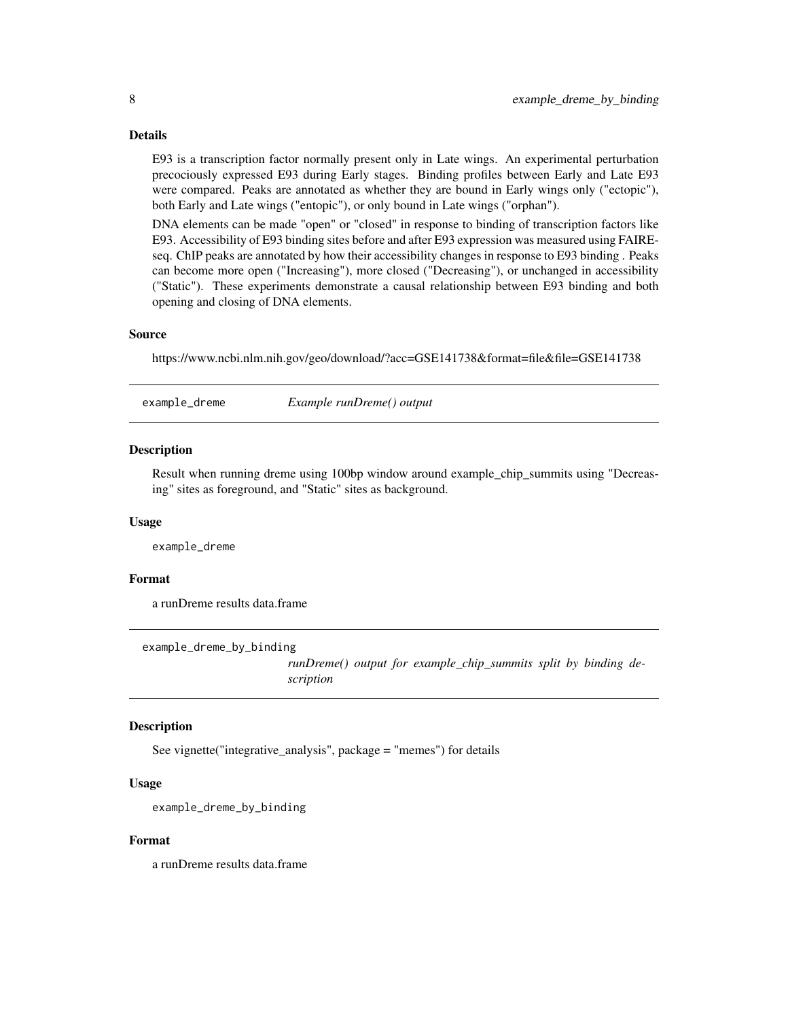#### Details

E93 is a transcription factor normally present only in Late wings. An experimental perturbation precociously expressed E93 during Early stages. Binding profiles between Early and Late E93 were compared. Peaks are annotated as whether they are bound in Early wings only ("ectopic"), both Early and Late wings ("entopic"), or only bound in Late wings ("orphan").

DNA elements can be made "open" or "closed" in response to binding of transcription factors like E93. Accessibility of E93 binding sites before and after E93 expression was measured using FAIREseq. ChIP peaks are annotated by how their accessibility changes in response to E93 binding . Peaks can become more open ("Increasing"), more closed ("Decreasing"), or unchanged in accessibility ("Static"). These experiments demonstrate a causal relationship between E93 binding and both opening and closing of DNA elements.

#### Source

https://www.ncbi.nlm.nih.gov/geo/download/?acc=GSE141738&format=file&file=GSE141738

example\_dreme *Example runDreme() output*

#### Description

Result when running dreme using 100bp window around example\_chip\_summits using "Decreasing" sites as foreground, and "Static" sites as background.

#### Usage

example\_dreme

#### Format

a runDreme results data.frame

example\_dreme\_by\_binding

*runDreme() output for example\_chip\_summits split by binding description*

#### **Description**

See vignette("integrative\_analysis", package = "memes") for details

#### Usage

example\_dreme\_by\_binding

#### Format

a runDreme results data.frame

<span id="page-7-0"></span>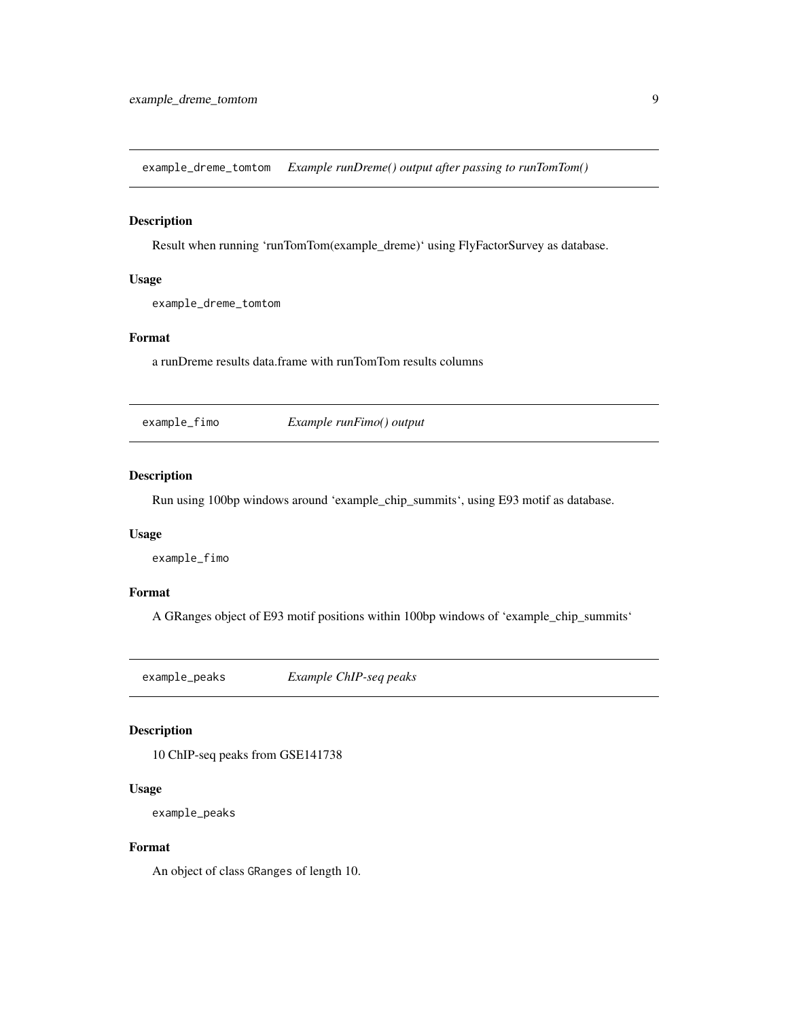<span id="page-8-0"></span>example\_dreme\_tomtom *Example runDreme() output after passing to runTomTom()*

#### Description

Result when running 'runTomTom(example\_dreme)' using FlyFactorSurvey as database.

#### Usage

example\_dreme\_tomtom

#### Format

a runDreme results data.frame with runTomTom results columns

example\_fimo *Example runFimo() output*

#### Description

Run using 100bp windows around 'example\_chip\_summits', using E93 motif as database.

#### Usage

example\_fimo

#### Format

A GRanges object of E93 motif positions within 100bp windows of 'example\_chip\_summits'

example\_peaks *Example ChIP-seq peaks*

#### Description

10 ChIP-seq peaks from GSE141738

#### Usage

example\_peaks

#### Format

An object of class GRanges of length 10.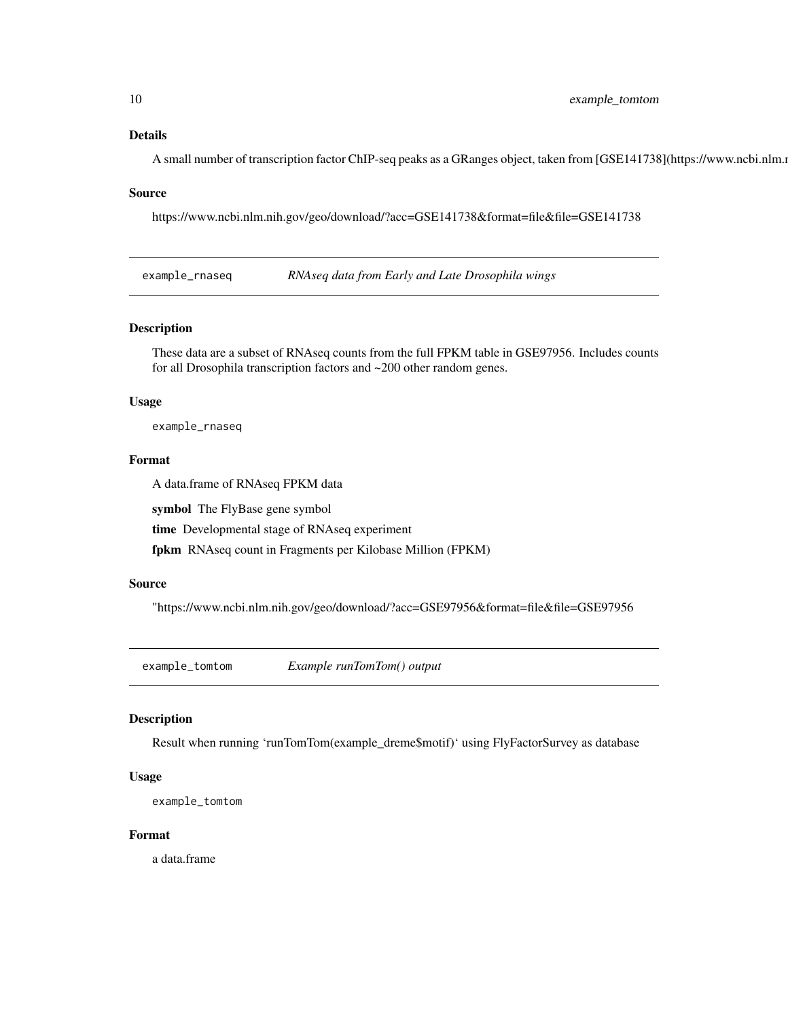#### <span id="page-9-0"></span>Details

A small number of transcription factor ChIP-seq peaks as a GRanges object, taken from [GSE141738](https://www.ncbi.nlm.ni

#### Source

https://www.ncbi.nlm.nih.gov/geo/download/?acc=GSE141738&format=file&file=GSE141738

example\_rnaseq *RNAseq data from Early and Late Drosophila wings*

#### Description

These data are a subset of RNAseq counts from the full FPKM table in GSE97956. Includes counts for all Drosophila transcription factors and ~200 other random genes.

#### Usage

example\_rnaseq

#### Format

A data.frame of RNAseq FPKM data

symbol The FlyBase gene symbol

time Developmental stage of RNAseq experiment

fpkm RNAseq count in Fragments per Kilobase Million (FPKM)

#### Source

"https://www.ncbi.nlm.nih.gov/geo/download/?acc=GSE97956&format=file&file=GSE97956

example\_tomtom *Example runTomTom() output*

#### Description

Result when running 'runTomTom(example\_dreme\$motif)' using FlyFactorSurvey as database

#### Usage

```
example_tomtom
```
#### Format

a data.frame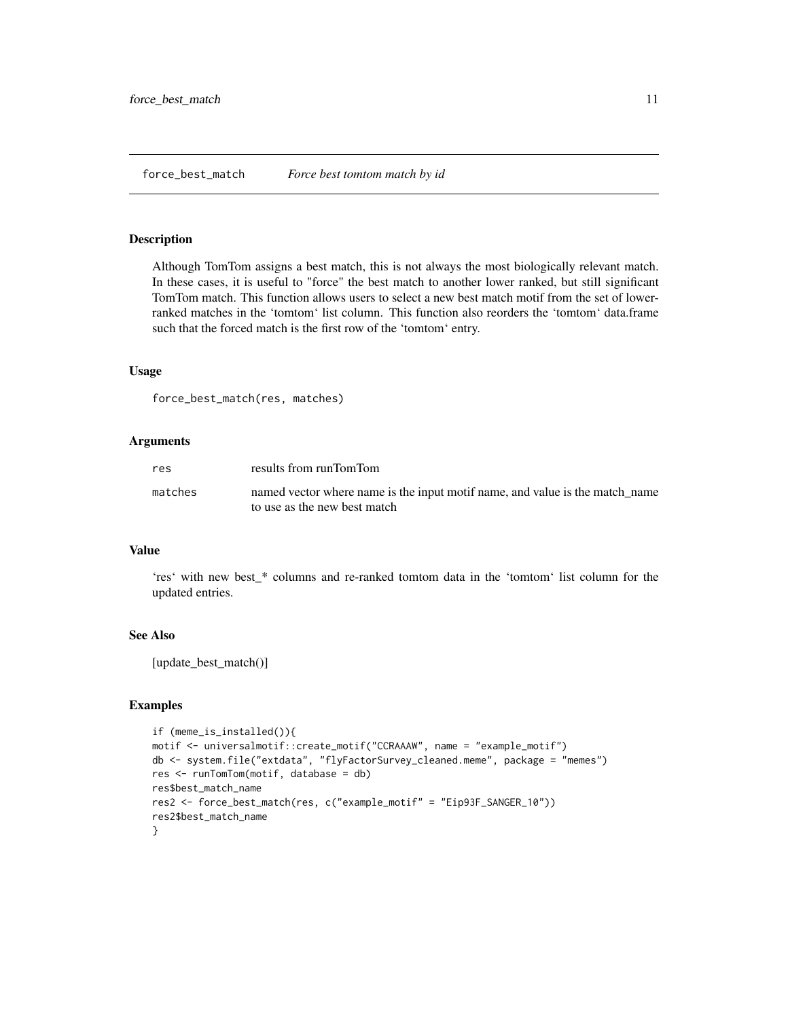#### <span id="page-10-0"></span>Description

Although TomTom assigns a best match, this is not always the most biologically relevant match. In these cases, it is useful to "force" the best match to another lower ranked, but still significant TomTom match. This function allows users to select a new best match motif from the set of lowerranked matches in the 'tomtom' list column. This function also reorders the 'tomtom' data.frame such that the forced match is the first row of the 'tomtom' entry.

#### Usage

```
force_best_match(res, matches)
```
#### Arguments

| res     | results from runTomTom                                                                                       |
|---------|--------------------------------------------------------------------------------------------------------------|
| matches | named vector where name is the input motif name, and value is the match name<br>to use as the new best match |

#### Value

'res' with new best\_\* columns and re-ranked tomtom data in the 'tomtom' list column for the updated entries.

#### See Also

[update\_best\_match()]

#### Examples

```
if (meme_is_installed()){
motif <- universalmotif::create_motif("CCRAAAW", name = "example_motif")
db <- system.file("extdata", "flyFactorSurvey_cleaned.meme", package = "memes")
res <- runTomTom(motif, database = db)
res$best_match_name
res2 <- force_best_match(res, c("example_motif" = "Eip93F_SANGER_10"))
res2$best_match_name
}
```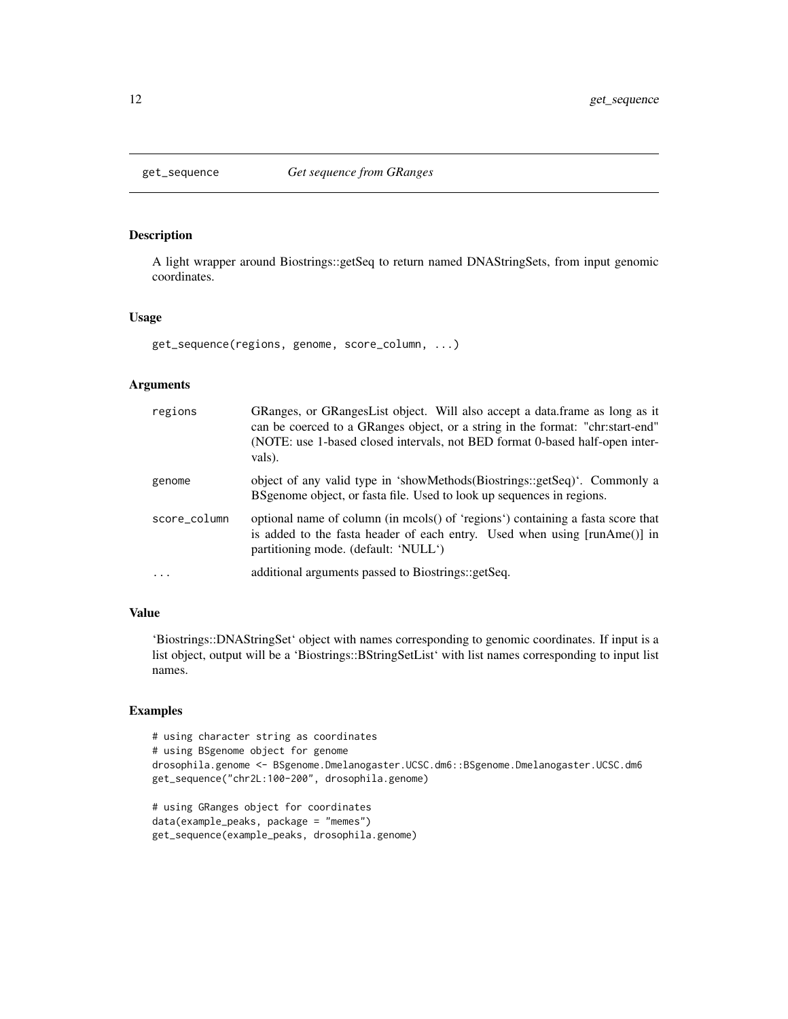#### Description

A light wrapper around Biostrings::getSeq to return named DNAStringSets, from input genomic coordinates.

#### Usage

get\_sequence(regions, genome, score\_column, ...)

#### Arguments

| regions      | GRanges, or GRangesList object. Will also accept a data.frame as long as it<br>can be coerced to a GRanges object, or a string in the format: "chr:start-end"<br>(NOTE: use 1-based closed intervals, not BED format 0-based half-open inter-<br>vals). |
|--------------|---------------------------------------------------------------------------------------------------------------------------------------------------------------------------------------------------------------------------------------------------------|
| genome       | object of any valid type in 'showMethods(Biostrings::getSeq)'. Commonly a<br>BSgenome object, or fasta file. Used to look up sequences in regions.                                                                                                      |
| score_column | optional name of column (in mcols() of 'regions') containing a fasta score that<br>is added to the fasta header of each entry. Used when using [runAme()] in<br>partitioning mode. (default: 'NULL')                                                    |
| $\cdots$     | additional arguments passed to Biostrings::getSeq.                                                                                                                                                                                                      |

#### Value

'Biostrings::DNAStringSet' object with names corresponding to genomic coordinates. If input is a list object, output will be a 'Biostrings::BStringSetList' with list names corresponding to input list names.

#### Examples

```
# using character string as coordinates
# using BSgenome object for genome
drosophila.genome <- BSgenome.Dmelanogaster.UCSC.dm6::BSgenome.Dmelanogaster.UCSC.dm6
get_sequence("chr2L:100-200", drosophila.genome)
```

```
# using GRanges object for coordinates
data(example_peaks, package = "memes")
get_sequence(example_peaks, drosophila.genome)
```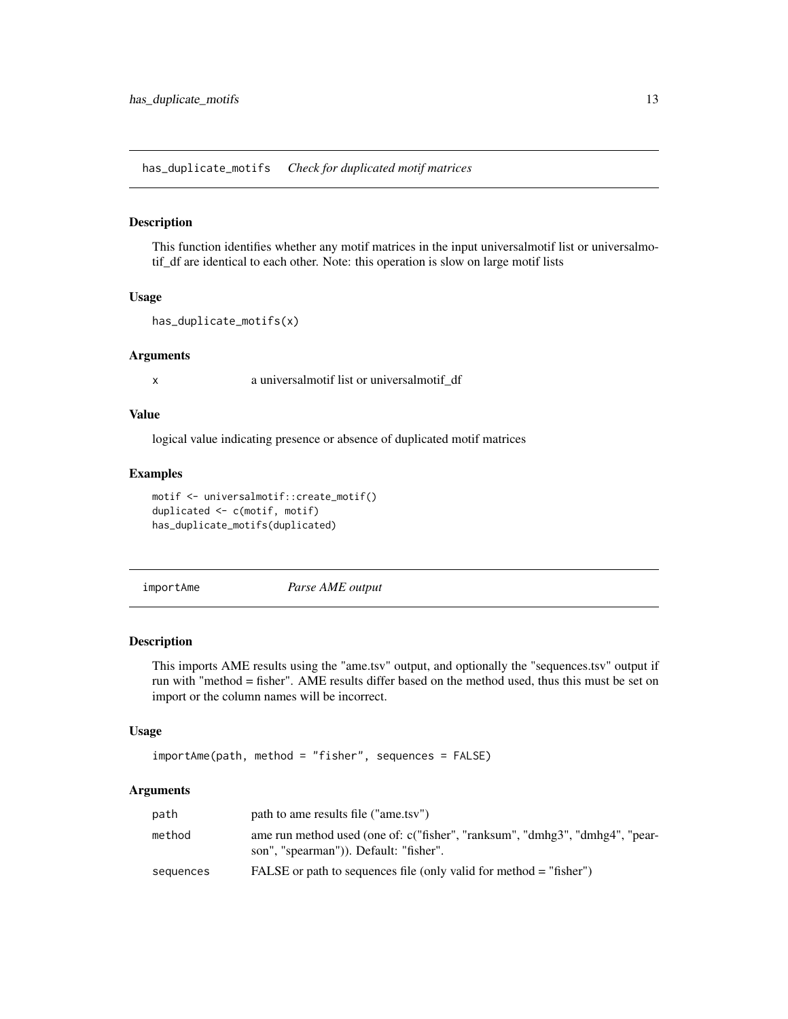<span id="page-12-0"></span>has\_duplicate\_motifs *Check for duplicated motif matrices*

#### Description

This function identifies whether any motif matrices in the input universalmotif list or universalmotif\_df are identical to each other. Note: this operation is slow on large motif lists

#### Usage

```
has_duplicate_motifs(x)
```
#### Arguments

x a universalmotif list or universalmotif\_df

#### Value

logical value indicating presence or absence of duplicated motif matrices

#### Examples

```
motif <- universalmotif::create_motif()
duplicated <- c(motif, motif)
has_duplicate_motifs(duplicated)
```
importAme *Parse AME output*

#### Description

This imports AME results using the "ame.tsv" output, and optionally the "sequences.tsv" output if run with "method = fisher". AME results differ based on the method used, thus this must be set on import or the column names will be incorrect.

#### Usage

```
importAme(path, method = "fisher", sequences = FALSE)
```
#### Arguments

| path      | path to ame results file ("ame.tsv")                                                                                   |
|-----------|------------------------------------------------------------------------------------------------------------------------|
| method    | ame run method used (one of: c("fisher", "ranksum", "dmhg3", "dmhg4", "pear-<br>son", "spearman")). Default: "fisher". |
| sequences | FALSE or path to sequences file (only valid for method $=$ "fisher")                                                   |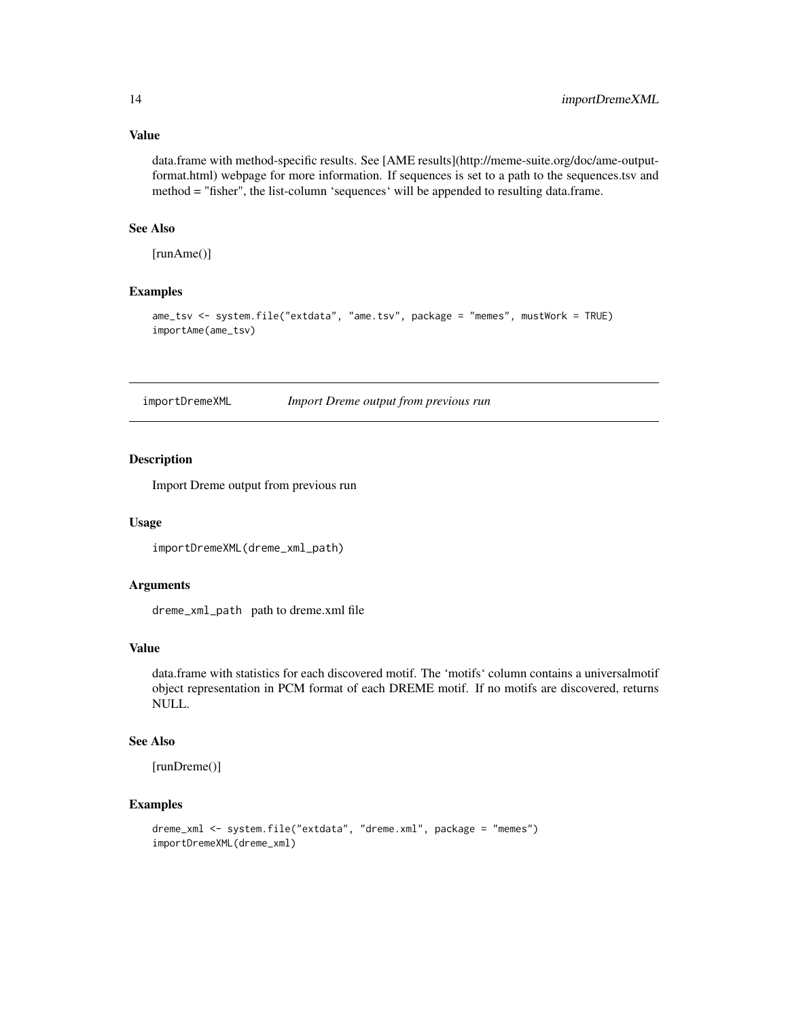#### Value

data.frame with method-specific results. See [AME results](http://meme-suite.org/doc/ame-outputformat.html) webpage for more information. If sequences is set to a path to the sequences.tsv and method = "fisher", the list-column 'sequences' will be appended to resulting data.frame.

#### See Also

[runAme()]

#### Examples

```
ame_tsv <- system.file("extdata", "ame.tsv", package = "memes", mustWork = TRUE)
importAme(ame_tsv)
```
importDremeXML *Import Dreme output from previous run*

#### Description

Import Dreme output from previous run

#### Usage

importDremeXML(dreme\_xml\_path)

#### Arguments

dreme\_xml\_path path to dreme.xml file

#### Value

data.frame with statistics for each discovered motif. The 'motifs' column contains a universalmotif object representation in PCM format of each DREME motif. If no motifs are discovered, returns NULL.

#### See Also

[runDreme()]

#### Examples

```
dreme_xml <- system.file("extdata", "dreme.xml", package = "memes")
importDremeXML(dreme_xml)
```
<span id="page-13-0"></span>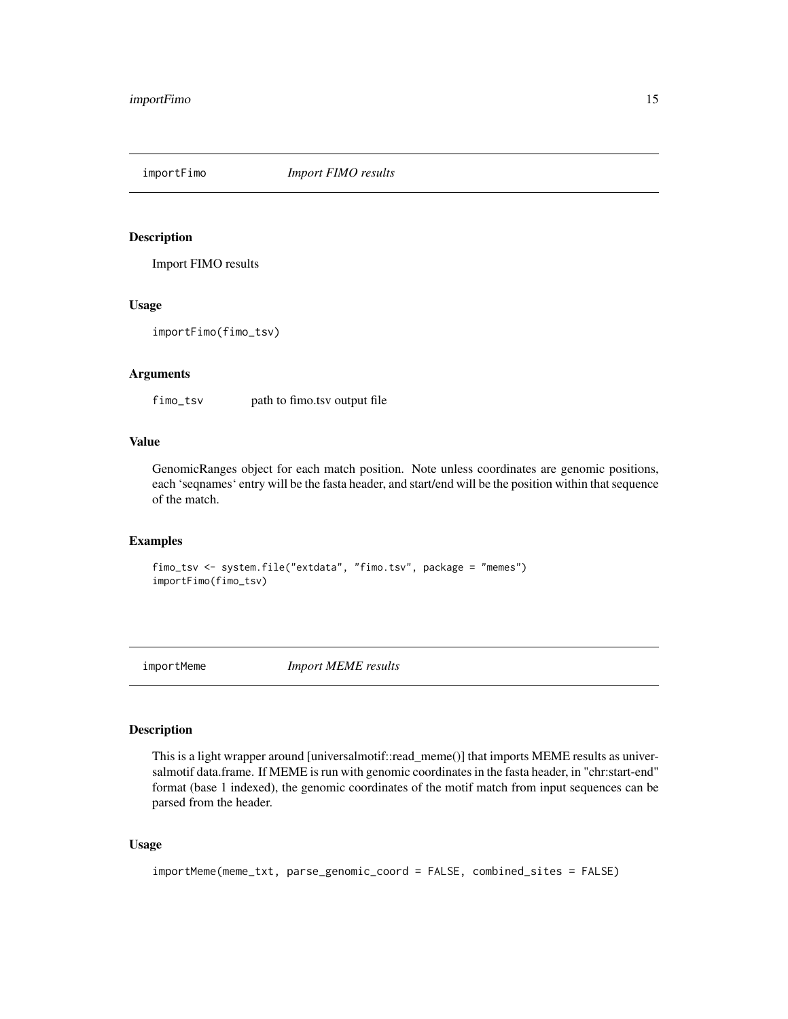<span id="page-14-0"></span>importFimo *Import FIMO results*

#### Description

Import FIMO results

#### Usage

importFimo(fimo\_tsv)

#### Arguments

fimo\_tsv path to fimo.tsv output file

#### Value

GenomicRanges object for each match position. Note unless coordinates are genomic positions, each 'seqnames' entry will be the fasta header, and start/end will be the position within that sequence of the match.

#### Examples

```
fimo_tsv <- system.file("extdata", "fimo.tsv", package = "memes")
importFimo(fimo_tsv)
```
importMeme *Import MEME results*

#### Description

This is a light wrapper around [universalmotif::read\_meme()] that imports MEME results as universalmotif data.frame. If MEME is run with genomic coordinates in the fasta header, in "chr:start-end" format (base 1 indexed), the genomic coordinates of the motif match from input sequences can be parsed from the header.

#### Usage

```
importMeme(meme_txt, parse_genomic_coord = FALSE, combined_sites = FALSE)
```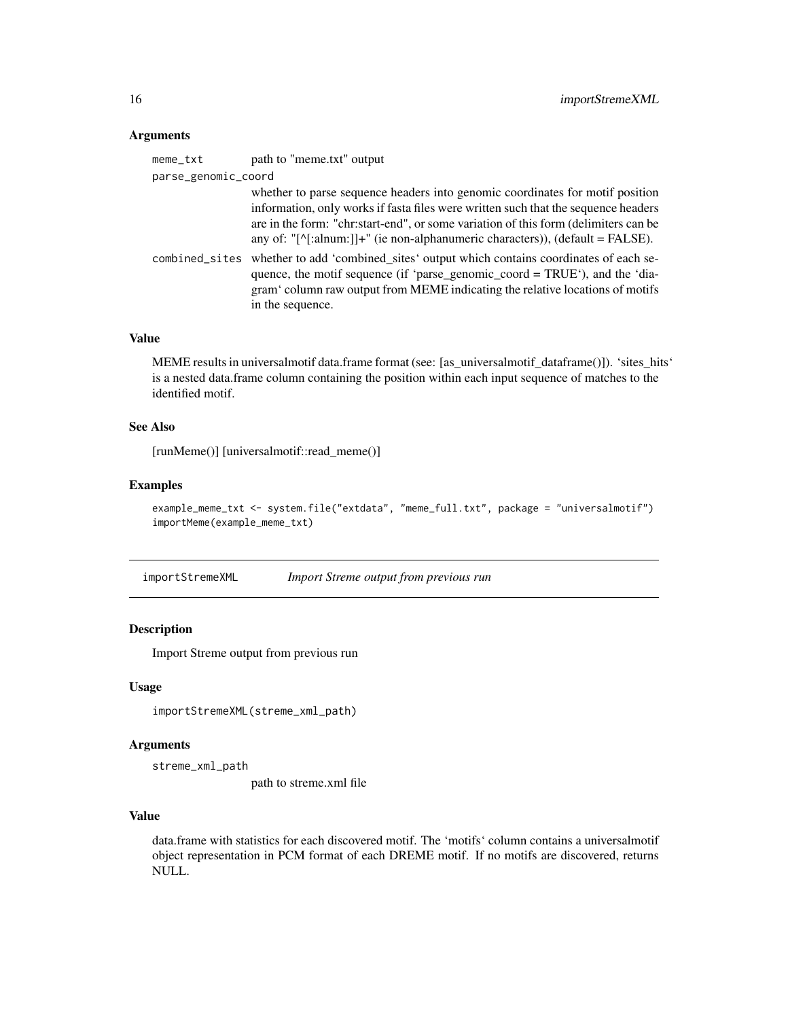#### <span id="page-15-0"></span>Arguments

| meme_txt            | path to "meme.txt" output                                                                                                                                                                                                                                                                                                                                 |
|---------------------|-----------------------------------------------------------------------------------------------------------------------------------------------------------------------------------------------------------------------------------------------------------------------------------------------------------------------------------------------------------|
| parse_genomic_coord |                                                                                                                                                                                                                                                                                                                                                           |
|                     | whether to parse sequence headers into genomic coordinates for motif position<br>information, only works if fasta files were written such that the sequence headers<br>are in the form: "chr:start-end", or some variation of this form (delimiters can be<br>any of: "[ $\text{``[}'$ [:alnum:]]+" (ie non-alphanumeric characters)), (default = FALSE). |
|                     | combined_sites whether to add 'combined_sites' output which contains coordinates of each se-<br>quence, the motif sequence (if 'parse_genomic_coord = TRUE'), and the 'dia-<br>gram' column raw output from MEME indicating the relative locations of motifs<br>in the sequence.                                                                          |

#### Value

MEME results in universalmotif data.frame format (see: [as\_universalmotif\_dataframe()]). 'sites\_hits' is a nested data.frame column containing the position within each input sequence of matches to the identified motif.

#### See Also

[runMeme()] [universalmotif::read\_meme()]

#### Examples

```
example_meme_txt <- system.file("extdata", "meme_full.txt", package = "universalmotif")
importMeme(example_meme_txt)
```
importStremeXML *Import Streme output from previous run*

#### Description

Import Streme output from previous run

#### Usage

```
importStremeXML(streme_xml_path)
```
#### Arguments

streme\_xml\_path

path to streme.xml file

#### Value

data.frame with statistics for each discovered motif. The 'motifs' column contains a universalmotif object representation in PCM format of each DREME motif. If no motifs are discovered, returns NULL.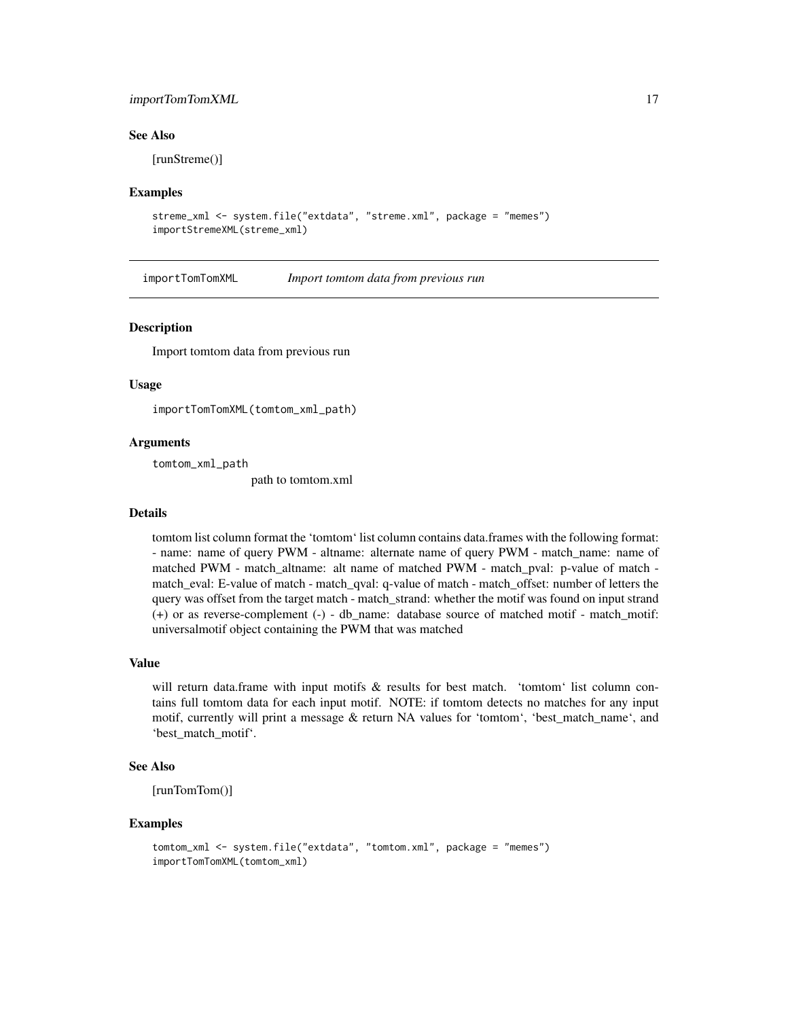#### <span id="page-16-0"></span>importTomTomXML 17

#### See Also

[runStreme()]

#### Examples

```
streme_xml <- system.file("extdata", "streme.xml", package = "memes")
importStremeXML(streme_xml)
```
importTomTomXML *Import tomtom data from previous run*

#### **Description**

Import tomtom data from previous run

#### Usage

importTomTomXML(tomtom\_xml\_path)

#### Arguments

tomtom\_xml\_path

path to tomtom.xml

#### Details

tomtom list column format the 'tomtom' list column contains data.frames with the following format: - name: name of query PWM - altname: alternate name of query PWM - match\_name: name of matched PWM - match\_altname: alt name of matched PWM - match\_pval: p-value of match match eval: E-value of match - match qval: q-value of match - match offset: number of letters the query was offset from the target match - match\_strand: whether the motif was found on input strand (+) or as reverse-complement (-) - db\_name: database source of matched motif - match\_motif: universalmotif object containing the PWM that was matched

#### Value

will return data.frame with input motifs & results for best match. 'tomtom' list column contains full tomtom data for each input motif. NOTE: if tomtom detects no matches for any input motif, currently will print a message & return NA values for 'tomtom', 'best\_match\_name', and 'best\_match\_motif'.

#### See Also

[runTomTom()]

#### Examples

```
tomtom_xml <- system.file("extdata", "tomtom.xml", package = "memes")
importTomTomXML(tomtom_xml)
```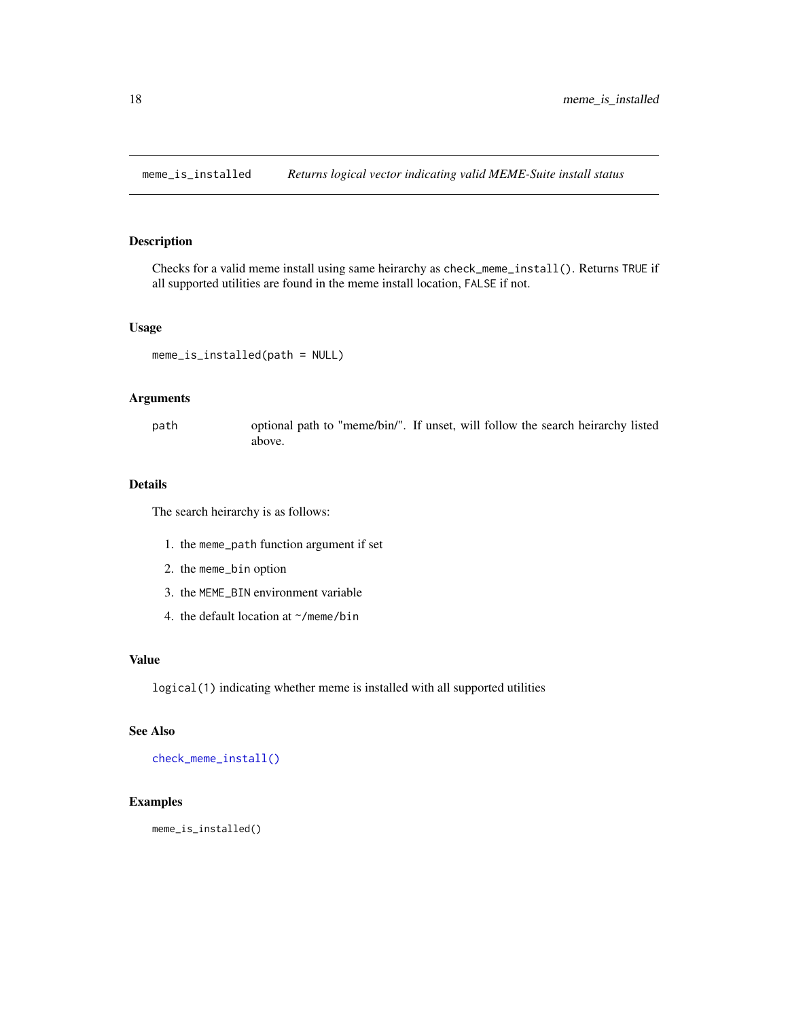<span id="page-17-0"></span>meme\_is\_installed *Returns logical vector indicating valid MEME-Suite install status*

#### Description

Checks for a valid meme install using same heirarchy as check\_meme\_install(). Returns TRUE if all supported utilities are found in the meme install location, FALSE if not.

#### Usage

meme\_is\_installed(path = NULL)

#### Arguments

path optional path to "meme/bin/". If unset, will follow the search heirarchy listed above.

#### Details

The search heirarchy is as follows:

- 1. the meme\_path function argument if set
- 2. the meme\_bin option
- 3. the MEME\_BIN environment variable
- 4. the default location at ~/meme/bin

#### Value

logical(1) indicating whether meme is installed with all supported utilities

#### See Also

[check\\_meme\\_install\(\)](#page-3-1)

#### Examples

meme\_is\_installed()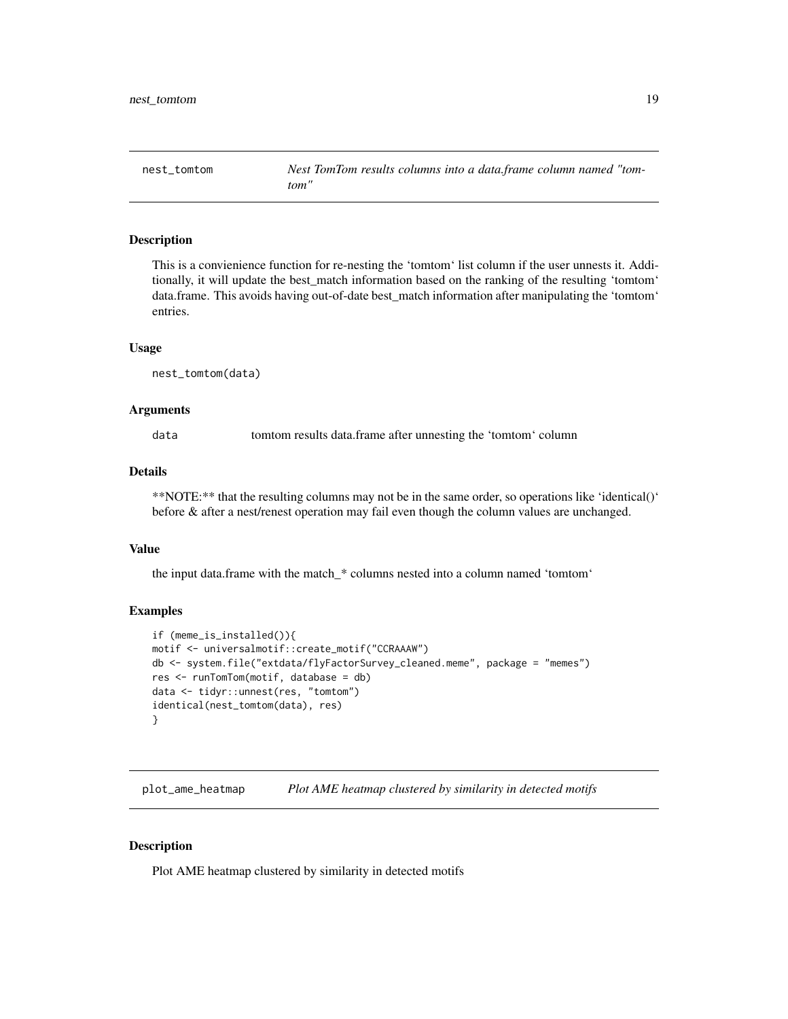<span id="page-18-0"></span>nest\_tomtom *Nest TomTom results columns into a data.frame column named "tomtom"*

#### **Description**

This is a convienience function for re-nesting the 'tomtom' list column if the user unnests it. Additionally, it will update the best\_match information based on the ranking of the resulting 'tomtom' data.frame. This avoids having out-of-date best\_match information after manipulating the 'tomtom' entries.

#### Usage

nest\_tomtom(data)

#### Arguments

data tomtom results data.frame after unnesting the 'tomtom' column

#### Details

\*\*NOTE:\*\* that the resulting columns may not be in the same order, so operations like 'identical()' before & after a nest/renest operation may fail even though the column values are unchanged.

#### Value

the input data.frame with the match\_\* columns nested into a column named 'tomtom'

#### Examples

```
if (meme_is_installed()){
motif <- universalmotif::create_motif("CCRAAAW")
db <- system.file("extdata/flyFactorSurvey_cleaned.meme", package = "memes")
res <- runTomTom(motif, database = db)
data <- tidyr::unnest(res, "tomtom")
identical(nest_tomtom(data), res)
}
```
plot\_ame\_heatmap *Plot AME heatmap clustered by similarity in detected motifs*

#### Description

Plot AME heatmap clustered by similarity in detected motifs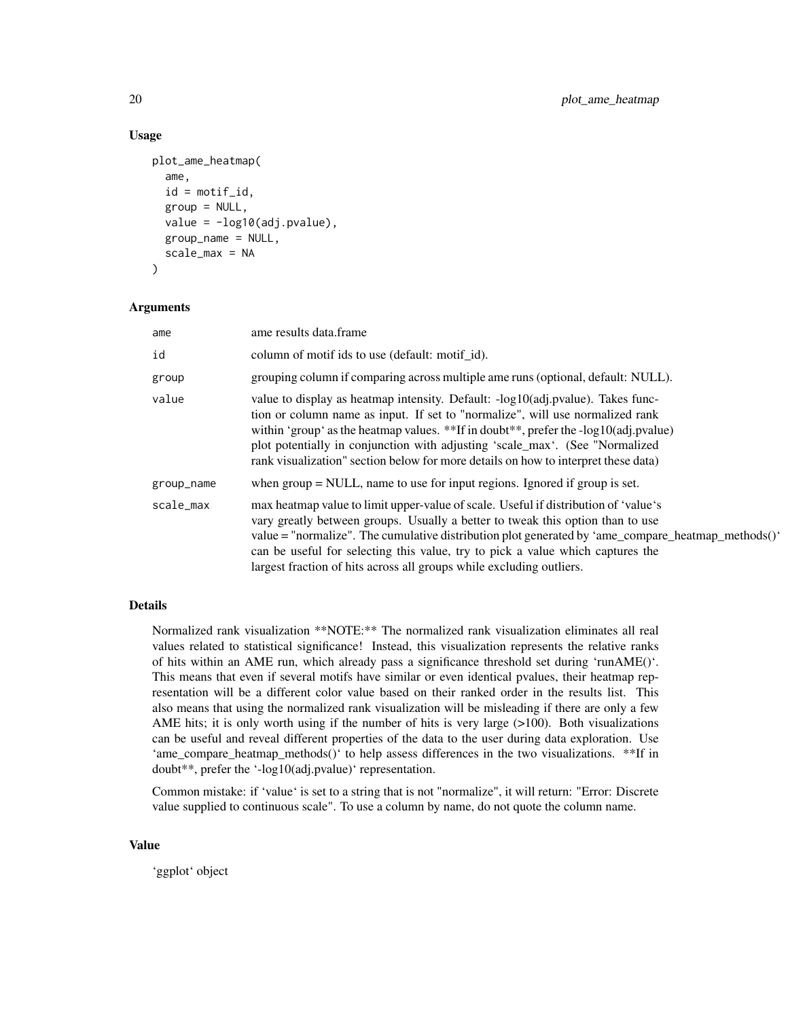#### Usage

```
plot_ame_heatmap(
  ame,
  id = motif_id,group = NULL,value = -log10(adj.pvalue),
  group_name = NULL,
  scale_max = NA
)
```
#### Arguments

| ame        | ame results data.frame                                                                                                                                                                                                                                                                                                                                                                                                                |
|------------|---------------------------------------------------------------------------------------------------------------------------------------------------------------------------------------------------------------------------------------------------------------------------------------------------------------------------------------------------------------------------------------------------------------------------------------|
| id         | column of motif ids to use (default: motif id).                                                                                                                                                                                                                                                                                                                                                                                       |
| group      | grouping column if comparing across multiple ame runs (optional, default: NULL).                                                                                                                                                                                                                                                                                                                                                      |
| value      | value to display as heatmap intensity. Default: -log10(adj.pvalue). Takes func-<br>tion or column name as input. If set to "normalize", will use normalized rank<br>within 'group' as the heatmap values. **If in doubt**, prefer the -log10(adj.pvalue)<br>plot potentially in conjunction with adjusting 'scale_max'. (See "Normalized<br>rank visualization" section below for more details on how to interpret these data)        |
| group_name | when $group = NULL$ , name to use for input regions. Ignored if group is set.                                                                                                                                                                                                                                                                                                                                                         |
| scale_max  | max heatmap value to limit upper-value of scale. Useful if distribution of 'value's<br>vary greatly between groups. Usually a better to tweak this option than to use<br>value = "normalize". The cumulative distribution plot generated by 'ame_compare_heatmap_methods()'<br>can be useful for selecting this value, try to pick a value which captures the<br>largest fraction of hits across all groups while excluding outliers. |

#### Details

Normalized rank visualization \*\*NOTE:\*\* The normalized rank visualization eliminates all real values related to statistical significance! Instead, this visualization represents the relative ranks of hits within an AME run, which already pass a significance threshold set during 'runAME()'. This means that even if several motifs have similar or even identical pvalues, their heatmap representation will be a different color value based on their ranked order in the results list. This also means that using the normalized rank visualization will be misleading if there are only a few AME hits; it is only worth using if the number of hits is very large  $(>100)$ . Both visualizations can be useful and reveal different properties of the data to the user during data exploration. Use 'ame\_compare\_heatmap\_methods()' to help assess differences in the two visualizations. \*\*If in doubt\*\*, prefer the '-log10(adj.pvalue)' representation.

Common mistake: if 'value' is set to a string that is not "normalize", it will return: "Error: Discrete value supplied to continuous scale". To use a column by name, do not quote the column name.

#### Value

'ggplot' object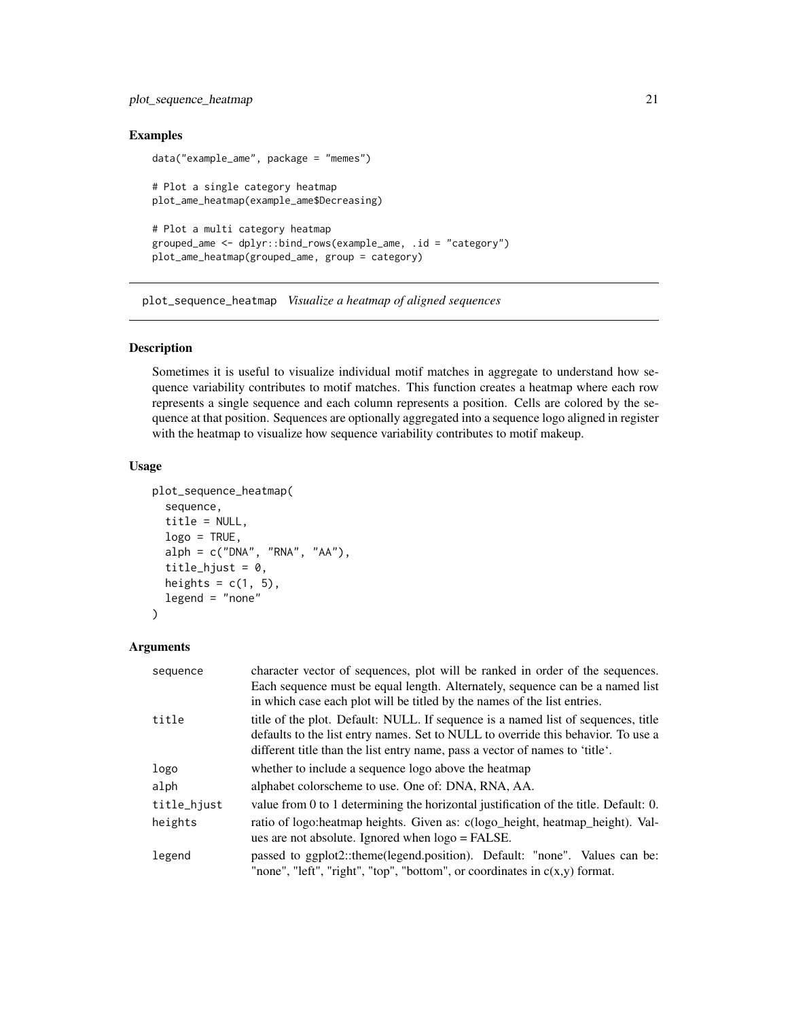#### <span id="page-20-0"></span>plot\_sequence\_heatmap 21

#### Examples

```
data("example_ame", package = "memes")
# Plot a single category heatmap
plot_ame_heatmap(example_ame$Decreasing)
# Plot a multi category heatmap
grouped_ame <- dplyr::bind_rows(example_ame, .id = "category")
plot_ame_heatmap(grouped_ame, group = category)
```
plot\_sequence\_heatmap *Visualize a heatmap of aligned sequences*

#### Description

Sometimes it is useful to visualize individual motif matches in aggregate to understand how sequence variability contributes to motif matches. This function creates a heatmap where each row represents a single sequence and each column represents a position. Cells are colored by the sequence at that position. Sequences are optionally aggregated into a sequence logo aligned in register with the heatmap to visualize how sequence variability contributes to motif makeup.

#### Usage

```
plot_sequence_heatmap(
  sequence,
  title = NULL,
  logo = TRUE,alpha = c("DNA", "RNA", "AA"),
  title_hjust = 0,
  heights = c(1, 5),
  legend = "none"\lambda
```
#### Arguments

| sequence    | character vector of sequences, plot will be ranked in order of the sequences.<br>Each sequence must be equal length. Alternately, sequence can be a named list<br>in which case each plot will be titled by the names of the list entries.             |
|-------------|--------------------------------------------------------------------------------------------------------------------------------------------------------------------------------------------------------------------------------------------------------|
| title       | title of the plot. Default: NULL. If sequence is a named list of sequences, title<br>defaults to the list entry names. Set to NULL to override this behavior. To use a<br>different title than the list entry name, pass a vector of names to 'title'. |
| logo        | whether to include a sequence logo above the heatmap                                                                                                                                                                                                   |
| alph        | alphabet colorscheme to use. One of: DNA, RNA, AA.                                                                                                                                                                                                     |
| title_hjust | value from 0 to 1 determining the horizontal justification of the title. Default: 0.                                                                                                                                                                   |
| heights     | ratio of logo: heatmap heights. Given as: c(logo_height, heatmap_height). Val-<br>ues are not absolute. Ignored when $logo = FALSE$ .                                                                                                                  |
| legend      | passed to ggplot2::theme(legend.position). Default: "none". Values can be:<br>"none", "left", "right", "top", "bottom", or coordinates in $c(x,y)$ format.                                                                                             |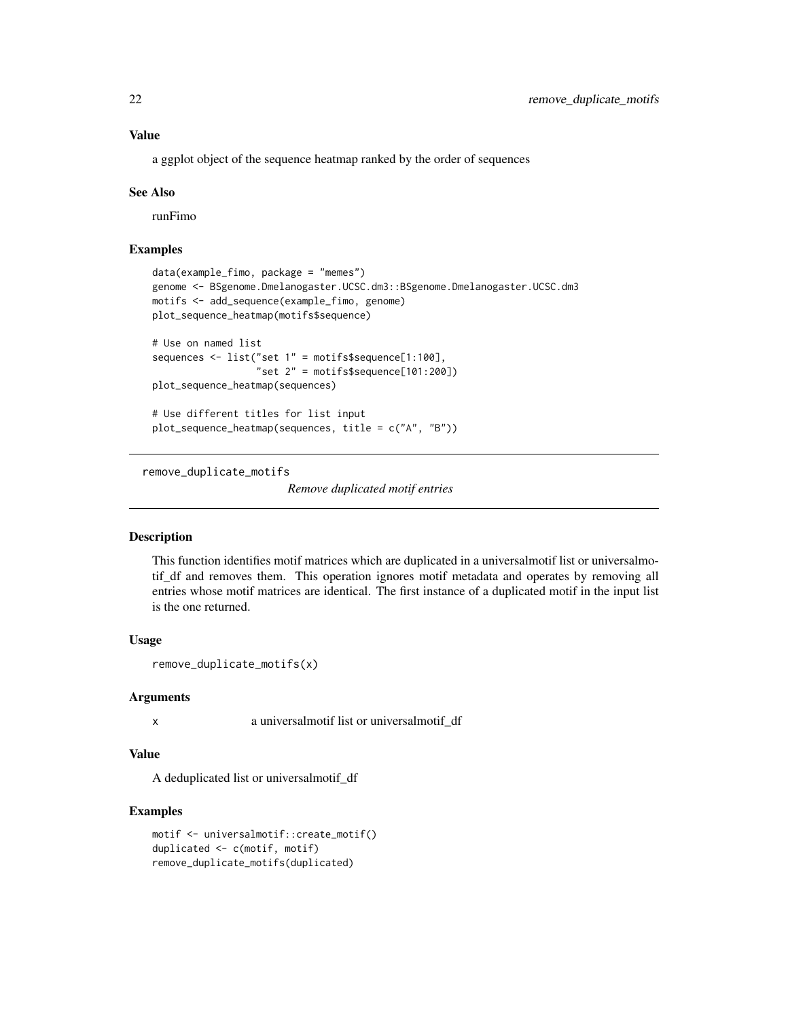<span id="page-21-0"></span>a ggplot object of the sequence heatmap ranked by the order of sequences

#### See Also

runFimo

#### Examples

```
data(example_fimo, package = "memes")
genome <- BSgenome.Dmelanogaster.UCSC.dm3::BSgenome.Dmelanogaster.UCSC.dm3
motifs <- add_sequence(example_fimo, genome)
plot_sequence_heatmap(motifs$sequence)
# Use on named list
sequences <- list("set 1" = motifs$sequence[1:100],
                  "set 2" = motifs$sequence[101:200])
plot_sequence_heatmap(sequences)
# Use different titles for list input
plot_sequence_heatmap(sequences, title = c("A", "B"))
```
remove\_duplicate\_motifs

*Remove duplicated motif entries*

#### **Description**

This function identifies motif matrices which are duplicated in a universalmotif list or universalmotif\_df and removes them. This operation ignores motif metadata and operates by removing all entries whose motif matrices are identical. The first instance of a duplicated motif in the input list is the one returned.

#### Usage

```
remove_duplicate_motifs(x)
```
#### Arguments

x a universalmotif list or universalmotif\_df

#### Value

A deduplicated list or universalmotif\_df

#### Examples

```
motif <- universalmotif::create_motif()
duplicated <- c(motif, motif)
remove_duplicate_motifs(duplicated)
```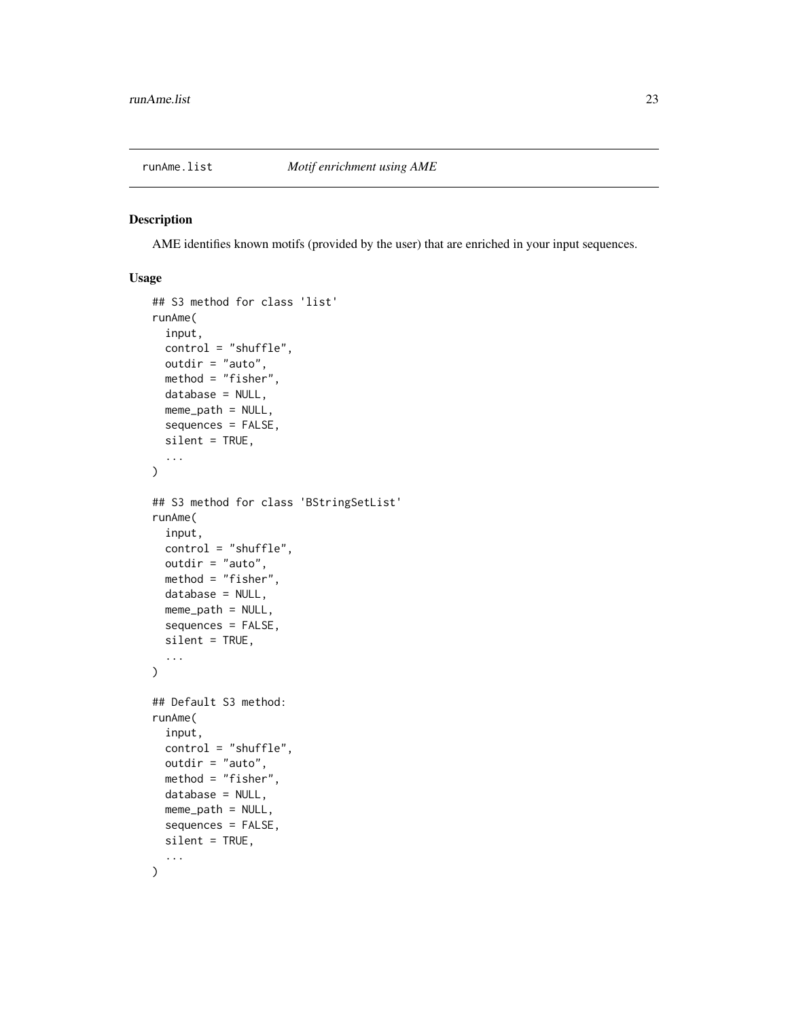<span id="page-22-0"></span>

#### Description

AME identifies known motifs (provided by the user) that are enriched in your input sequences.

#### Usage

```
## S3 method for class 'list'
runAme(
  input,
  control = "shuffle",
  outdir = "auto",
 method = "fisher",
  database = NULL,
 meme_path = NULL,
  sequences = FALSE,
  silent = TRUE,
  ...
)
## S3 method for class 'BStringSetList'
runAme(
  input,
  control = "shuffle",
  outdir = "auto",
 method = "fisher",
 database = NULL,
 meme_path = NULL,
  sequences = FALSE,
  silent = TRUE,
  ...
\mathcal{L}## Default S3 method:
runAme(
  input,
  control = "shuffle",
 outdir = "auto",
 method = "fisher",
  database = NULL,
 meme_path = NULL,
  sequences = FALSE,
  silent = TRUE,
  ...
\mathcal{L}
```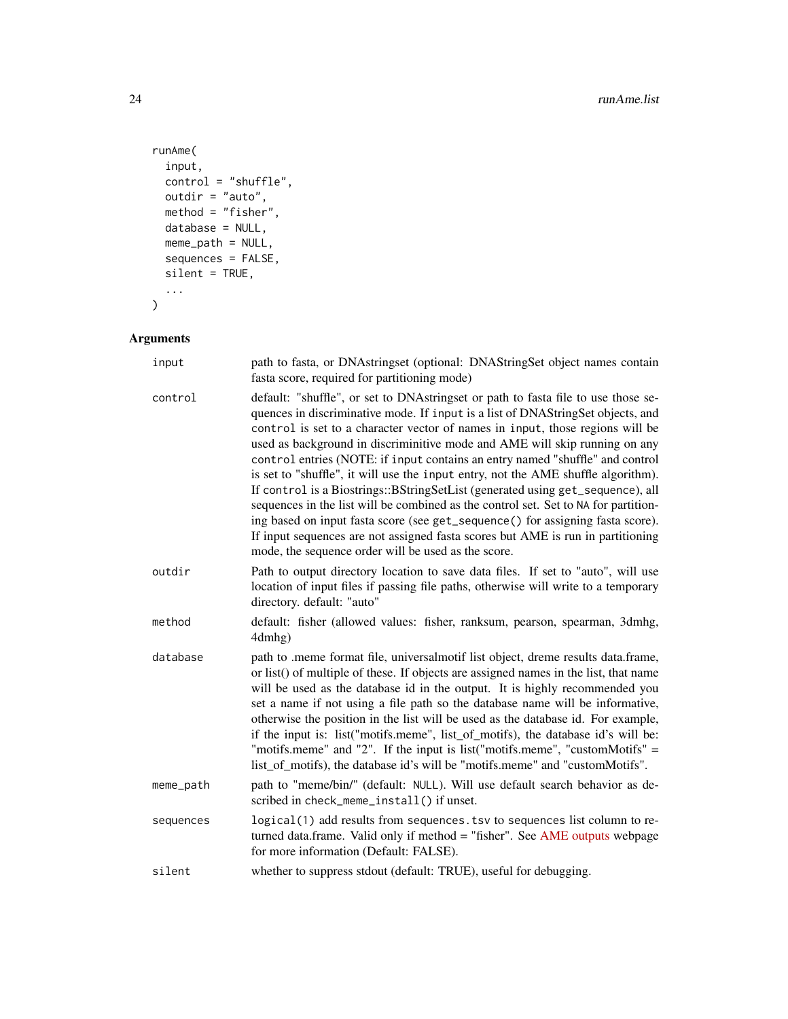```
runAme(
  input,
  control = "shuffle",
 outdir = "auto",
  method = "fisher",
  database = NULL,
  meme_path = NULL,
  sequences = FALSE,
  silent = TRUE,
  ...
\overline{)}
```
#### Arguments

| input     | path to fasta, or DNAstringset (optional: DNAStringSet object names contain<br>fasta score, required for partitioning mode)                                                                                                                                                                                                                                                                                                                                                                                                                                                                                                                                                                                                                                                                                                                                                                                    |
|-----------|----------------------------------------------------------------------------------------------------------------------------------------------------------------------------------------------------------------------------------------------------------------------------------------------------------------------------------------------------------------------------------------------------------------------------------------------------------------------------------------------------------------------------------------------------------------------------------------------------------------------------------------------------------------------------------------------------------------------------------------------------------------------------------------------------------------------------------------------------------------------------------------------------------------|
| control   | default: "shuffle", or set to DNAstringset or path to fasta file to use those se-<br>quences in discriminative mode. If input is a list of DNAStringSet objects, and<br>control is set to a character vector of names in input, those regions will be<br>used as background in discriminitive mode and AME will skip running on any<br>control entries (NOTE: if input contains an entry named "shuffle" and control<br>is set to "shuffle", it will use the input entry, not the AME shuffle algorithm).<br>If control is a Biostrings::BStringSetList (generated using get_sequence), all<br>sequences in the list will be combined as the control set. Set to NA for partition-<br>ing based on input fasta score (see get_sequence() for assigning fasta score).<br>If input sequences are not assigned fasta scores but AME is run in partitioning<br>mode, the sequence order will be used as the score. |
| outdir    | Path to output directory location to save data files. If set to "auto", will use<br>location of input files if passing file paths, otherwise will write to a temporary<br>directory. default: "auto"                                                                                                                                                                                                                                                                                                                                                                                                                                                                                                                                                                                                                                                                                                           |
| method    | default: fisher (allowed values: fisher, ranksum, pearson, spearman, 3dmhg,<br>4dmhg)                                                                                                                                                                                                                                                                                                                                                                                                                                                                                                                                                                                                                                                                                                                                                                                                                          |
| database  | path to .meme format file, universalmotif list object, dreme results data.frame,<br>or list() of multiple of these. If objects are assigned names in the list, that name<br>will be used as the database id in the output. It is highly recommended you<br>set a name if not using a file path so the database name will be informative,<br>otherwise the position in the list will be used as the database id. For example,<br>if the input is: list("motifs.meme", list_of_motifs), the database id's will be:<br>"motifs.meme" and "2". If the input is $list("motifs.meme", "customMotifs" =$<br>list_of_motifs), the database id's will be "motifs.meme" and "customMotifs".                                                                                                                                                                                                                              |
| meme_path | path to "meme/bin/" (default: NULL). Will use default search behavior as de-<br>scribed in check_meme_install() if unset.                                                                                                                                                                                                                                                                                                                                                                                                                                                                                                                                                                                                                                                                                                                                                                                      |
| sequences | logical(1) add results from sequences. tsv to sequences list column to re-<br>turned data.frame. Valid only if method = "fisher". See AME outputs webpage<br>for more information (Default: FALSE).                                                                                                                                                                                                                                                                                                                                                                                                                                                                                                                                                                                                                                                                                                            |
| silent    | whether to suppress stdout (default: TRUE), useful for debugging.                                                                                                                                                                                                                                                                                                                                                                                                                                                                                                                                                                                                                                                                                                                                                                                                                                              |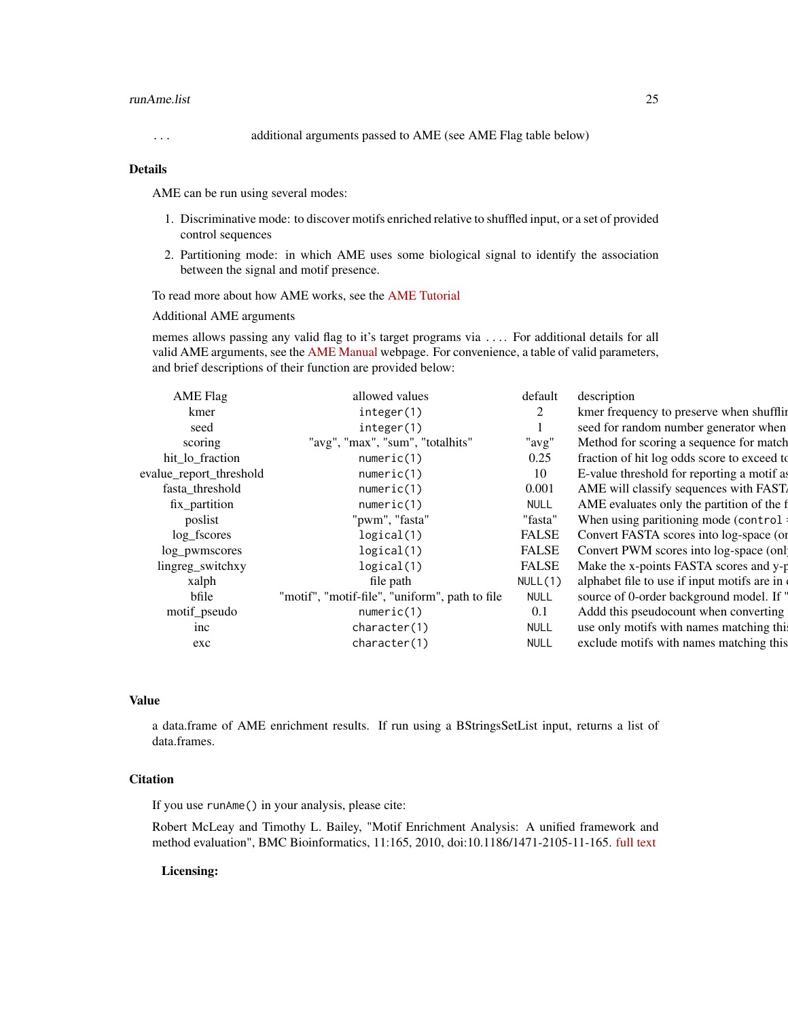#### runAme.list 25

... additional arguments passed to AME (see AME Flag table below)

#### Details

AME can be run using several modes:

- 1. Discriminative mode: to discover motifs enriched relative to shuffled input, or a set of provided control sequences
- 2. Partitioning mode: in which AME uses some biological signal to identify the association between the signal and motif presence.

To read more about how AME works, see the [AME Tutorial](http://meme-suite.org/doc/ame-tutorial.html)

Additional AME arguments

memes allows passing any valid flag to it's target programs via .... For additional details for all valid AME arguments, see the [AME Manual](http://meme-suite.org/doc/ame.html) webpage. For convenience, a table of valid parameters, and brief descriptions of their function are provided below:

| <b>AME Flag</b>         | allowed values                                 | default      | description                                 |
|-------------------------|------------------------------------------------|--------------|---------------------------------------------|
| kmer                    | integer(1)                                     |              | kmer frequency to preserve when shufflin    |
| seed                    | integer(1)                                     |              | seed for random number generator when       |
| scoring                 | "avg", "max", "sum", "totalhits"               | "avg'        | Method for scoring a sequence for match     |
| hit_lo_fraction         | numeric(1)                                     | 0.25         | fraction of hit log odds score to exceed to |
| evalue_report_threshold | numeric(1)                                     | 10           | E-value threshold for reporting a motif as  |
| fasta threshold         | numeric(1)                                     | 0.001        | AME will classify sequences with FAST.      |
| fix_partition           | numeric(1)                                     | <b>NULL</b>  | AME evaluates only the partition of the f   |
| poslist                 | "pwm", "fasta"                                 | "fasta       | When using paritioning mode (control:       |
| log_fscores             | logical(1)                                     | <b>FALSE</b> | Convert FASTA scores into log-space (or     |
| log_pwmscores           | logical(1)                                     | <b>FALSE</b> | Convert PWM scores into log-space (onl      |
| lingreg_switchxy        | logical(1)                                     | <b>FALSE</b> | Make the x-points FASTA scores and y-p      |
| xalph                   | file path                                      | NULL(1)      | alphabet file to use if input motifs are in |
| bfile                   | "motif", "motif-file", "uniform", path to file | <b>NULL</b>  | source of 0-order background model. If "    |
| motif_pseudo            | numeric(1)                                     | 0.1          | Addd this pseudocount when converting       |
| inc                     | character(1)                                   | <b>NULL</b>  | use only motifs with names matching this    |
| exc                     | character(1)                                   | <b>NULL</b>  | exclude motifs with names matching this     |
|                         |                                                |              |                                             |

#### Value

a data.frame of AME enrichment results. If run using a BStringsSetList input, returns a list of data.frames.

#### **Citation**

If you use runAme() in your analysis, please cite:

Robert McLeay and Timothy L. Bailey, "Motif Enrichment Analysis: A unified framework and method evaluation", BMC Bioinformatics, 11:165, 2010, doi:10.1186/1471-2105-11-165. [full text](http://www.biomedcentral.com/1471-2105/11/165)

#### Licensing: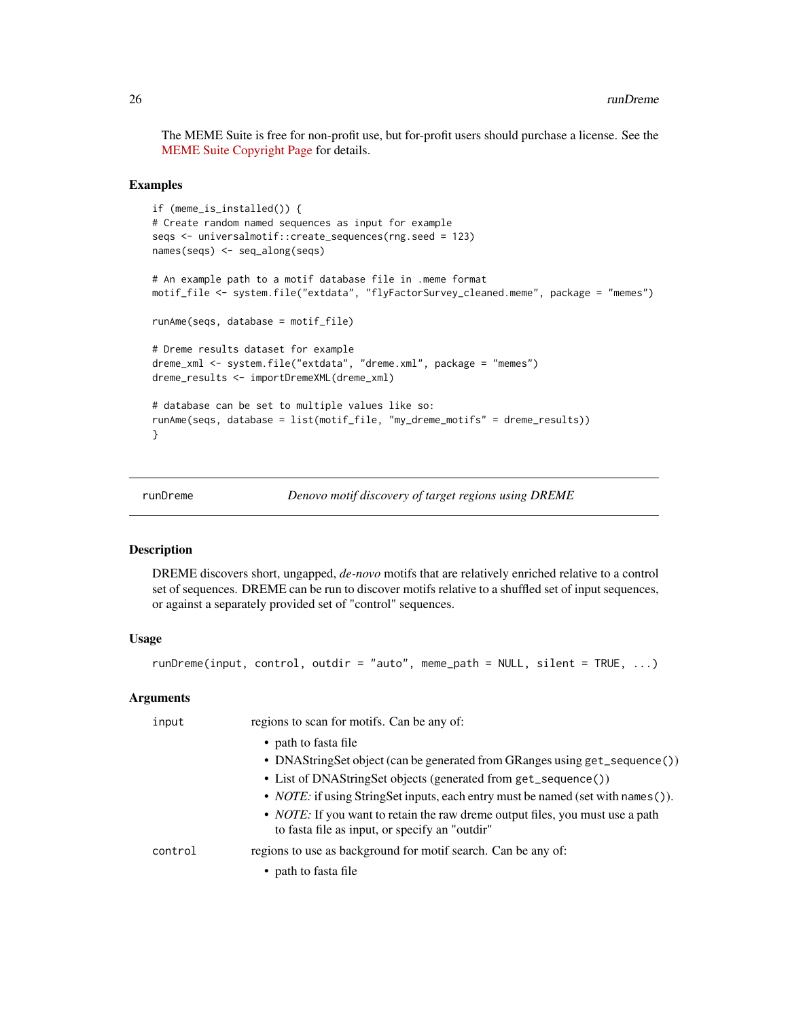<span id="page-25-0"></span>The MEME Suite is free for non-profit use, but for-profit users should purchase a license. See the [MEME Suite Copyright Page](http://meme-suite.org/doc/copyright.html) for details.

#### Examples

```
if (meme_is_installed()) {
# Create random named sequences as input for example
seqs <- universalmotif::create_sequences(rng.seed = 123)
names(seqs) <- seq_along(seqs)
# An example path to a motif database file in .meme format
motif_file <- system.file("extdata", "flyFactorSurvey_cleaned.meme", package = "memes")
runAme(seqs, database = motif_file)
# Dreme results dataset for example
dreme_xml <- system.file("extdata", "dreme.xml", package = "memes")
dreme_results <- importDremeXML(dreme_xml)
# database can be set to multiple values like so:
runAme(seqs, database = list(motif_file, "my_dreme_motifs" = dreme_results))
}
```
runDreme *Denovo motif discovery of target regions using DREME*

#### Description

DREME discovers short, ungapped, *de-novo* motifs that are relatively enriched relative to a control set of sequences. DREME can be run to discover motifs relative to a shuffled set of input sequences, or against a separately provided set of "control" sequences.

#### Usage

 $runDreme(input, control, outdir = "auto", member = NULL, silent = TRUE, ...)$ 

#### **Arguments**

| input   | regions to scan for motifs. Can be any of:                                                                                              |
|---------|-----------------------------------------------------------------------------------------------------------------------------------------|
|         | • path to fasta file                                                                                                                    |
|         | • DNAStringSet object (can be generated from GRanges using get_sequence())                                                              |
|         | • List of DNAStringSet objects (generated from get_sequence())                                                                          |
|         | • <i>NOTE</i> : if using StringSet inputs, each entry must be named (set with names ()).                                                |
|         | • <i>NOTE</i> : If you want to retain the raw dreme output files, you must use a path<br>to fasta file as input, or specify an "outdir" |
| control | regions to use as background for motif search. Can be any of:                                                                           |
|         | • path to fasta file                                                                                                                    |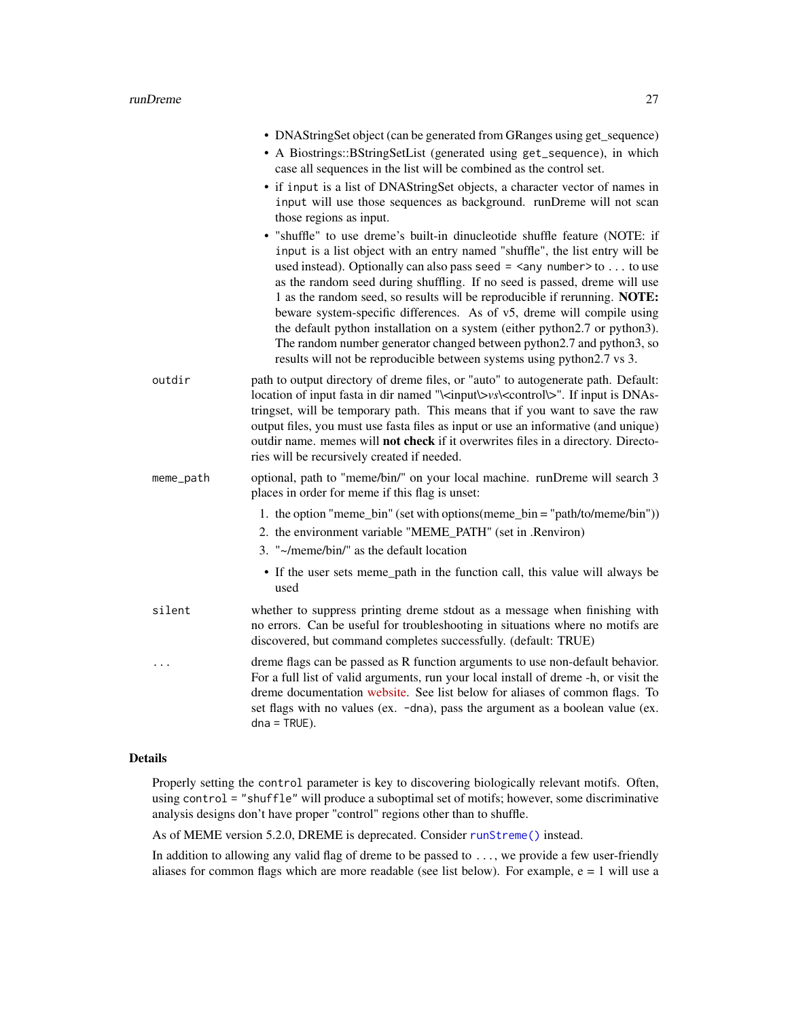<span id="page-26-0"></span>

|           | • DNAStringSet object (can be generated from GRanges using get_sequence)                                                                                                                                                                                                                                                                                                                                                                                                                                                                                                                                                                                                                                                                                                                                                                                                                             |
|-----------|------------------------------------------------------------------------------------------------------------------------------------------------------------------------------------------------------------------------------------------------------------------------------------------------------------------------------------------------------------------------------------------------------------------------------------------------------------------------------------------------------------------------------------------------------------------------------------------------------------------------------------------------------------------------------------------------------------------------------------------------------------------------------------------------------------------------------------------------------------------------------------------------------|
|           | • A Biostrings::BStringSetList (generated using get_sequence), in which<br>case all sequences in the list will be combined as the control set.                                                                                                                                                                                                                                                                                                                                                                                                                                                                                                                                                                                                                                                                                                                                                       |
|           | • if input is a list of DNAStringSet objects, a character vector of names in<br>input will use those sequences as background. runDreme will not scan<br>those regions as input.<br>· "shuffle" to use dreme's built-in dinucleotide shuffle feature (NOTE: if<br>input is a list object with an entry named "shuffle", the list entry will be<br>used instead). Optionally can also pass seed = $\langle$ any number>to  to use<br>as the random seed during shuffling. If no seed is passed, dreme will use<br>1 as the random seed, so results will be reproducible if rerunning. NOTE:<br>beware system-specific differences. As of v5, dreme will compile using<br>the default python installation on a system (either python2.7 or python3).<br>The random number generator changed between python2.7 and python3, so<br>results will not be reproducible between systems using python2.7 vs 3. |
| outdir    | path to output directory of dreme files, or "auto" to autogenerate path. Default:<br>location of input fasta in dir named "\ <input\>vs\<control\>". If input is DNAs-<br/>tringset, will be temporary path. This means that if you want to save the raw<br/>output files, you must use fasta files as input or use an informative (and unique)<br/>outdir name. memes will not check if it overwrites files in a directory. Directo-<br/>ries will be recursively created if needed.</control\></input\>                                                                                                                                                                                                                                                                                                                                                                                            |
| meme_path | optional, path to "meme/bin/" on your local machine. runDreme will search 3<br>places in order for meme if this flag is unset:                                                                                                                                                                                                                                                                                                                                                                                                                                                                                                                                                                                                                                                                                                                                                                       |
|           | 1. the option "meme_bin" (set with options (meme_bin = "path/to/meme/bin"))<br>2. the environment variable "MEME_PATH" (set in .Renviron)<br>3. "~/meme/bin/" as the default location                                                                                                                                                                                                                                                                                                                                                                                                                                                                                                                                                                                                                                                                                                                |
|           | • If the user sets meme_path in the function call, this value will always be<br>used                                                                                                                                                                                                                                                                                                                                                                                                                                                                                                                                                                                                                                                                                                                                                                                                                 |
| silent    | whether to suppress printing dreme stdout as a message when finishing with<br>no errors. Can be useful for troubleshooting in situations where no motifs are<br>discovered, but command completes successfully. (default: TRUE)                                                                                                                                                                                                                                                                                                                                                                                                                                                                                                                                                                                                                                                                      |
| .         | dreme flags can be passed as R function arguments to use non-default behavior.<br>For a full list of valid arguments, run your local install of dreme -h, or visit the<br>dreme documentation website. See list below for aliases of common flags. To<br>set flags with no values (ex. -dna), pass the argument as a boolean value (ex.<br>$dna = TRUE$ ).                                                                                                                                                                                                                                                                                                                                                                                                                                                                                                                                           |

#### Details

Properly setting the control parameter is key to discovering biologically relevant motifs. Often, using control = "shuffle" will produce a suboptimal set of motifs; however, some discriminative analysis designs don't have proper "control" regions other than to shuffle.

As of MEME version 5.2.0, DREME is deprecated. Consider [runStreme\(\)](#page-33-1) instead.

In addition to allowing any valid flag of dreme to be passed to ..., we provide a few user-friendly aliases for common flags which are more readable (see list below). For example,  $e = 1$  will use a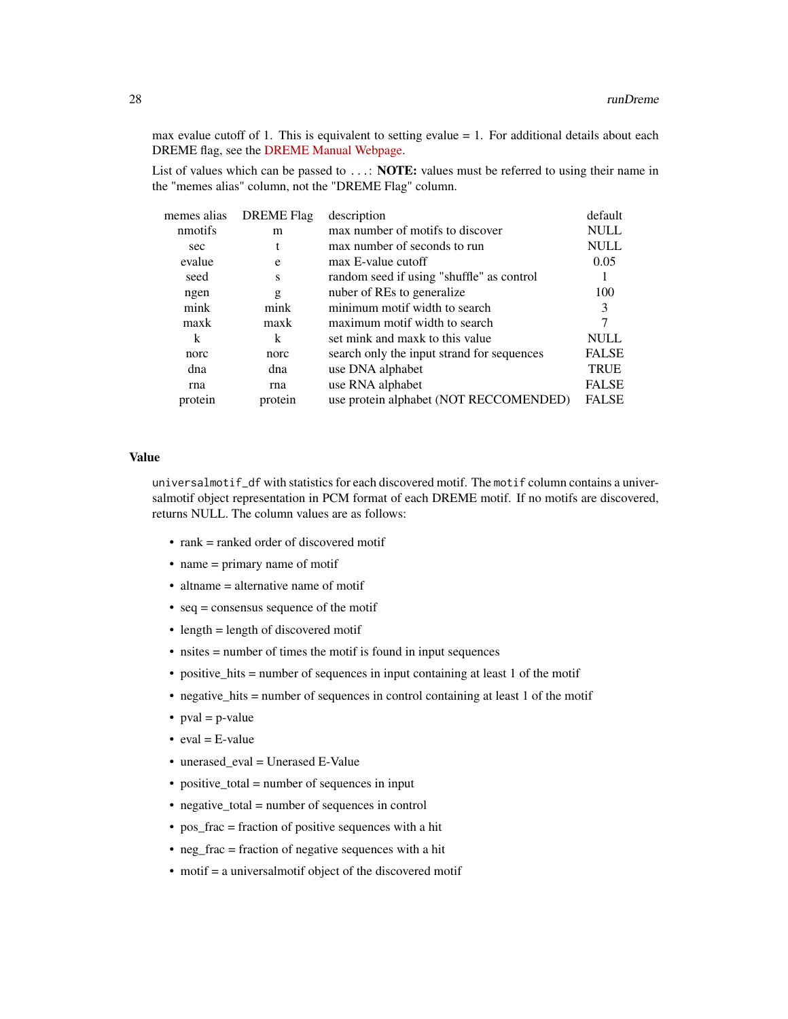max evalue cutoff of 1. This is equivalent to setting evalue  $= 1$ . For additional details about each DREME flag, see the [DREME Manual Webpage.](http://meme-suite.org/doc/dreme.html)

List of values which can be passed to ...: **NOTE:** values must be referred to using their name in the "memes alias" column, not the "DREME Flag" column.

| memes alias | <b>DREME</b> Flag | description                                | default      |
|-------------|-------------------|--------------------------------------------|--------------|
| nmotifs     | m                 | max number of motifs to discover           | <b>NULL</b>  |
| sec         | t                 | max number of seconds to run               | <b>NULL</b>  |
| evalue      | e                 | max E-value cutoff                         | 0.05         |
| seed        | S                 | random seed if using "shuffle" as control  |              |
| ngen        | g                 | nuber of REs to generalize                 | 100          |
| mink        | mink              | minimum motif width to search              | 3            |
| maxk        | maxk              | maximum motif width to search              |              |
| k           | k                 | set mink and maxk to this value            | <b>NULL</b>  |
| norc        | norc              | search only the input strand for sequences | <b>FALSE</b> |
| dna         | dna               | use DNA alphabet                           | <b>TRUE</b>  |
| rna         | rna               | use RNA alphabet                           | <b>FALSE</b> |
| protein     | protein           | use protein alphabet (NOT RECCOMENDED)     | <b>FALSE</b> |
|             |                   |                                            |              |

#### Value

universalmotif\_df with statistics for each discovered motif. The motif column contains a universalmotif object representation in PCM format of each DREME motif. If no motifs are discovered, returns NULL. The column values are as follows:

- rank = ranked order of discovered motif
- name = primary name of motif
- altname = alternative name of motif
- seq = consensus sequence of the motif
- length = length of discovered motif
- nsites = number of times the motif is found in input sequences
- positive\_hits = number of sequences in input containing at least 1 of the motif
- negative\_hits = number of sequences in control containing at least 1 of the motif
- $pval = p-value$
- $eval = E-value$
- unerased\_eval = Unerased E-Value
- positive\_total = number of sequences in input
- negative\_total = number of sequences in control
- pos\_frac = fraction of positive sequences with a hit
- neg\_frac = fraction of negative sequences with a hit
- motif = a universalmotif object of the discovered motif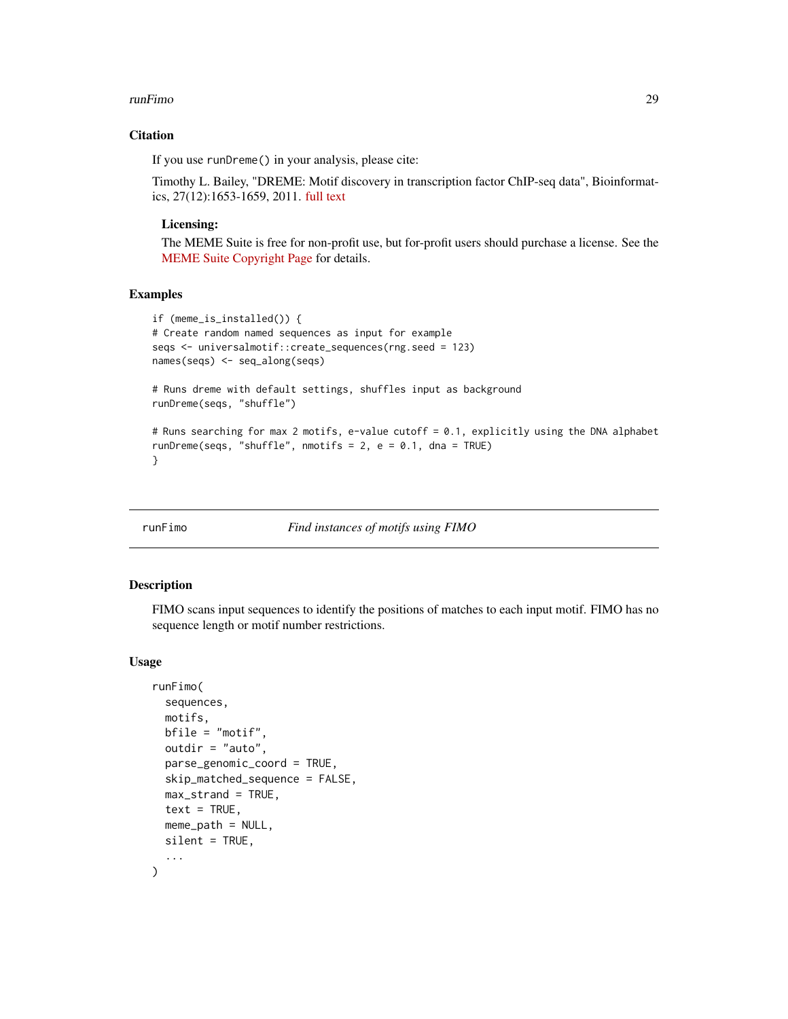#### <span id="page-28-0"></span>runFimo 29

#### **Citation**

If you use runDreme() in your analysis, please cite:

Timothy L. Bailey, "DREME: Motif discovery in transcription factor ChIP-seq data", Bioinformatics, 27(12):1653-1659, 2011. [full text](https://academic.oup.com/bioinformatics/article/27/12/1653/257754)

#### Licensing:

The MEME Suite is free for non-profit use, but for-profit users should purchase a license. See the [MEME Suite Copyright Page](http://meme-suite.org/doc/copyright.html) for details.

#### Examples

```
if (meme_is_installed()) {
# Create random named sequences as input for example
seqs <- universalmotif::create_sequences(rng.seed = 123)
names(seqs) <- seq_along(seqs)
# Runs dreme with default settings, shuffles input as background
runDreme(seqs, "shuffle")
# Runs searching for max 2 motifs, e-value cutoff = 0.1, explicitly using the DNA alphabet
runDreme(seqs, "shuffle", nmotifs = 2, e = 0.1, dna = TRUE)
}
```
runFimo *Find instances of motifs using FIMO*

#### Description

FIMO scans input sequences to identify the positions of matches to each input motif. FIMO has no sequence length or motif number restrictions.

#### Usage

```
runFimo(
  sequences,
 motifs,
 bfile = "motif",
 outdir = "auto",parse_genomic_coord = TRUE,
  skip_matched_sequence = FALSE,
 max_strand = TRUE,
  text = TRUE,meme\_path = NULL,
 silent = TRUE,
  ...
)
```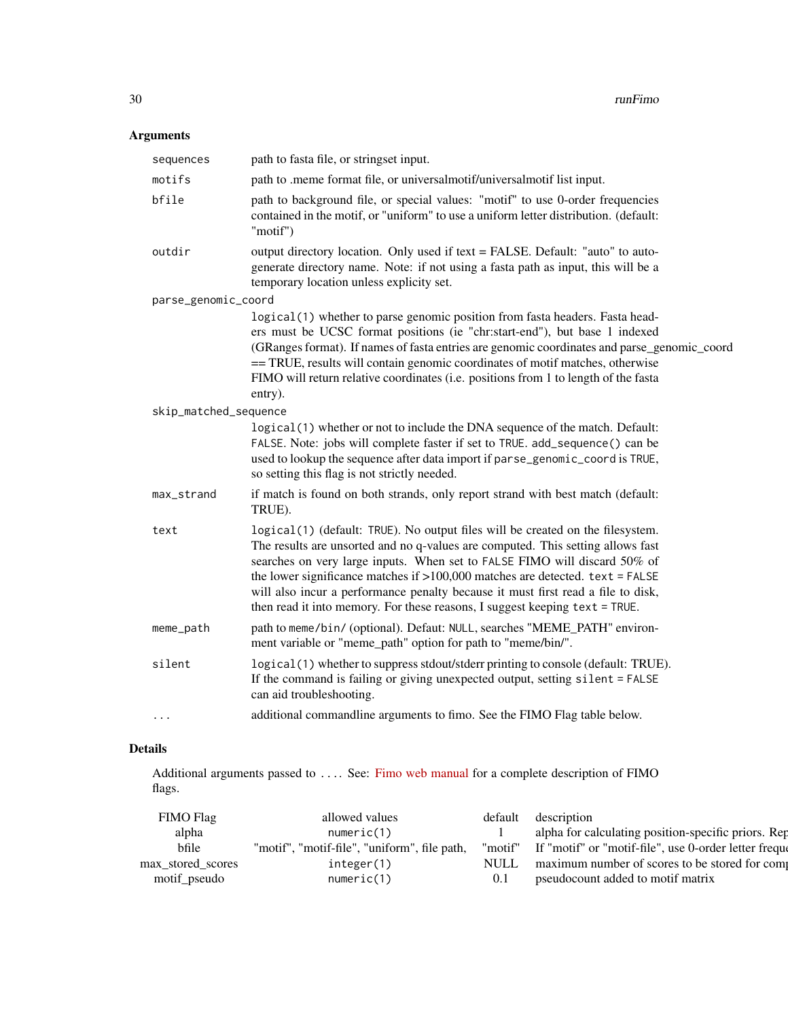## Arguments

| sequences             | path to fasta file, or stringset input.                                                                                                                                                                                                                                                                                                                                                                                                                                                              |
|-----------------------|------------------------------------------------------------------------------------------------------------------------------------------------------------------------------------------------------------------------------------------------------------------------------------------------------------------------------------------------------------------------------------------------------------------------------------------------------------------------------------------------------|
| motifs                | path to .meme format file, or universalmotif/universalmotif list input.                                                                                                                                                                                                                                                                                                                                                                                                                              |
| bfile                 | path to background file, or special values: "motif" to use 0-order frequencies<br>contained in the motif, or "uniform" to use a uniform letter distribution. (default:<br>"motif")                                                                                                                                                                                                                                                                                                                   |
| outdir                | output directory location. Only used if text = FALSE. Default: "auto" to auto-<br>generate directory name. Note: if not using a fasta path as input, this will be a<br>temporary location unless explicity set.                                                                                                                                                                                                                                                                                      |
| parse_genomic_coord   |                                                                                                                                                                                                                                                                                                                                                                                                                                                                                                      |
|                       | logical(1) whether to parse genomic position from fasta headers. Fasta head-<br>ers must be UCSC format positions (ie "chr:start-end"), but base 1 indexed<br>(GRanges format). If names of fasta entries are genomic coordinates and parse_genomic_coord<br>== TRUE, results will contain genomic coordinates of motif matches, otherwise<br>FIMO will return relative coordinates (i.e. positions from 1 to length of the fasta<br>entry).                                                         |
| skip_matched_sequence |                                                                                                                                                                                                                                                                                                                                                                                                                                                                                                      |
|                       | logical(1) whether or not to include the DNA sequence of the match. Default:<br>FALSE. Note: jobs will complete faster if set to TRUE. add_sequence() can be<br>used to lookup the sequence after data import if parse_genomic_coord is TRUE,<br>so setting this flag is not strictly needed.                                                                                                                                                                                                        |
| max_strand            | if match is found on both strands, only report strand with best match (default:<br>TRUE).                                                                                                                                                                                                                                                                                                                                                                                                            |
| text                  | logical(1) (default: TRUE). No output files will be created on the filesystem.<br>The results are unsorted and no q-values are computed. This setting allows fast<br>searches on very large inputs. When set to FALSE FIMO will discard 50% of<br>the lower significance matches if $>100,000$ matches are detected. text = FALSE<br>will also incur a performance penalty because it must first read a file to disk,<br>then read it into memory. For these reasons, I suggest keeping text = TRUE. |
| meme_path             | path to meme/bin/ (optional). Defaut: NULL, searches "MEME_PATH" environ-<br>ment variable or "meme_path" option for path to "meme/bin/".                                                                                                                                                                                                                                                                                                                                                            |
| silent                | logical(1) whether to suppress stdout/stderr printing to console (default: TRUE).<br>If the command is failing or giving unexpected output, setting silent = FALSE<br>can aid troubleshooting.                                                                                                                                                                                                                                                                                                       |
| .                     | additional commandline arguments to fimo. See the FIMO Flag table below.                                                                                                                                                                                                                                                                                                                                                                                                                             |

#### Details

Additional arguments passed to .... See: [Fimo web manual](http://meme-suite.org/doc/fimo.html?man_type=web) for a complete description of FIMO flags.

| FIMO Flag         | allowed values                               | default     | description                                              |
|-------------------|----------------------------------------------|-------------|----------------------------------------------------------|
| alpha             | numeric(1)                                   |             | alpha for calculating position-specific priors. Rep      |
| bfile             | "motif", "motif-file", "uniform", file path, | "motif"     | If "motif" or "motif-file", use 0-order letter frequency |
| max stored scores | integer(1)                                   | <b>NULL</b> | maximum number of scores to be stored for comp           |
| motif_pseudo      | numeric(1)                                   |             | pseudocount added to motif matrix                        |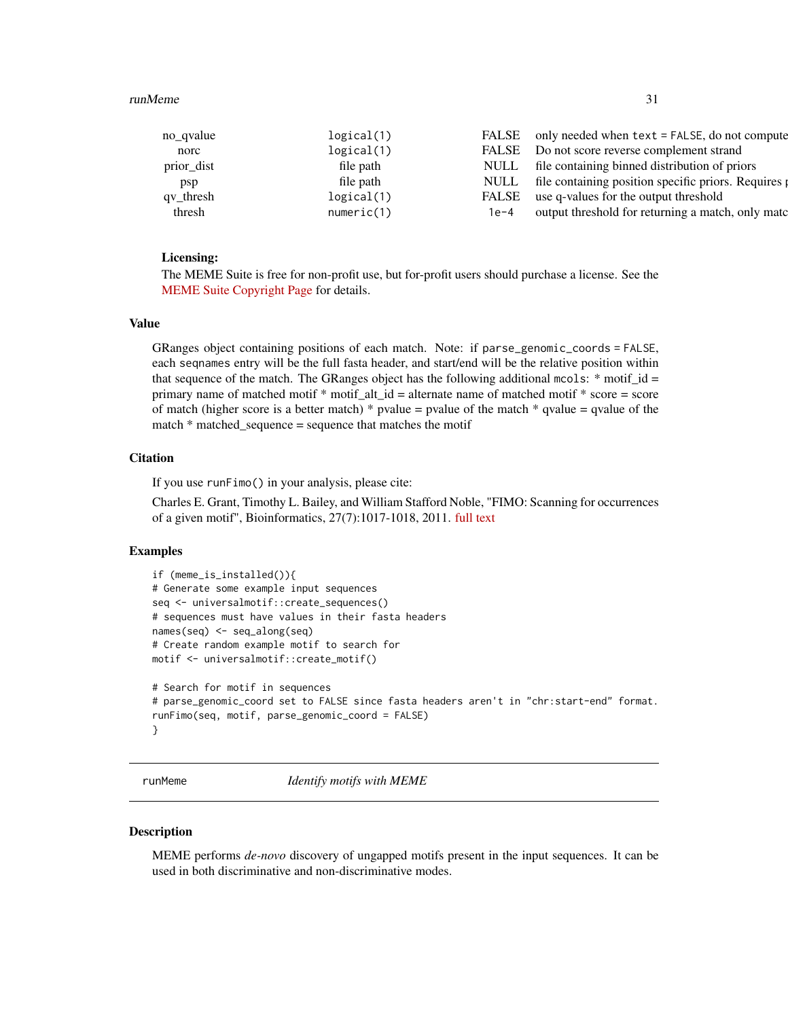#### <span id="page-30-0"></span>runMeme 31

| no qvalue  | logical(1) | <b>FALSE</b> | only needed when text = FALSE, do not compute      |
|------------|------------|--------------|----------------------------------------------------|
| norc       | logical(1) | <b>FALSE</b> | Do not score reverse complement strand             |
| prior_dist | file path  | <b>NULL</b>  | file containing binned distribution of priors      |
| psp        | file path  | <b>NULL</b>  | file containing position specific priors. Requires |
| qv_thresh  | logical(1) | <b>FALSE</b> | use q-values for the output threshold              |
| thresh     | numeric(1) | $1e-4$       | output threshold for returning a match, only match |
|            |            |              |                                                    |

#### Licensing:

The MEME Suite is free for non-profit use, but for-profit users should purchase a license. See the [MEME Suite Copyright Page](http://meme-suite.org/doc/copyright.html) for details.

#### Value

GRanges object containing positions of each match. Note: if parse\_genomic\_coords = FALSE, each seqnames entry will be the full fasta header, and start/end will be the relative position within that sequence of the match. The GRanges object has the following additional mcols:  $*$  motif\_id = primary name of matched motif \* motif\_alt\_id = alternate name of matched motif \* score = score of match (higher score is a better match)  $*$  pvalue = pvalue of the match  $*$  qvalue = qvalue of the match \* matched\_sequence = sequence that matches the motif

#### **Citation**

If you use runFimo() in your analysis, please cite:

Charles E. Grant, Timothy L. Bailey, and William Stafford Noble, "FIMO: Scanning for occurrences of a given motif", Bioinformatics, 27(7):1017-1018, 2011. [full text](http://bioinformatics.oxfordjournals.org/content/early/2011/02/16/bioinformatics.btr064.full)

#### Examples

```
if (meme_is_installed()){
# Generate some example input sequences
seq <- universalmotif::create_sequences()
# sequences must have values in their fasta headers
names(seq) <- seq_along(seq)
# Create random example motif to search for
motif <- universalmotif::create_motif()
# Search for motif in sequences
# parse_genomic_coord set to FALSE since fasta headers aren't in "chr:start-end" format.
runFimo(seq, motif, parse_genomic_coord = FALSE)
}
```
<span id="page-30-1"></span>

runMeme *Identify motifs with MEME*

#### Description

MEME performs *de-novo* discovery of ungapped motifs present in the input sequences. It can be used in both discriminative and non-discriminative modes.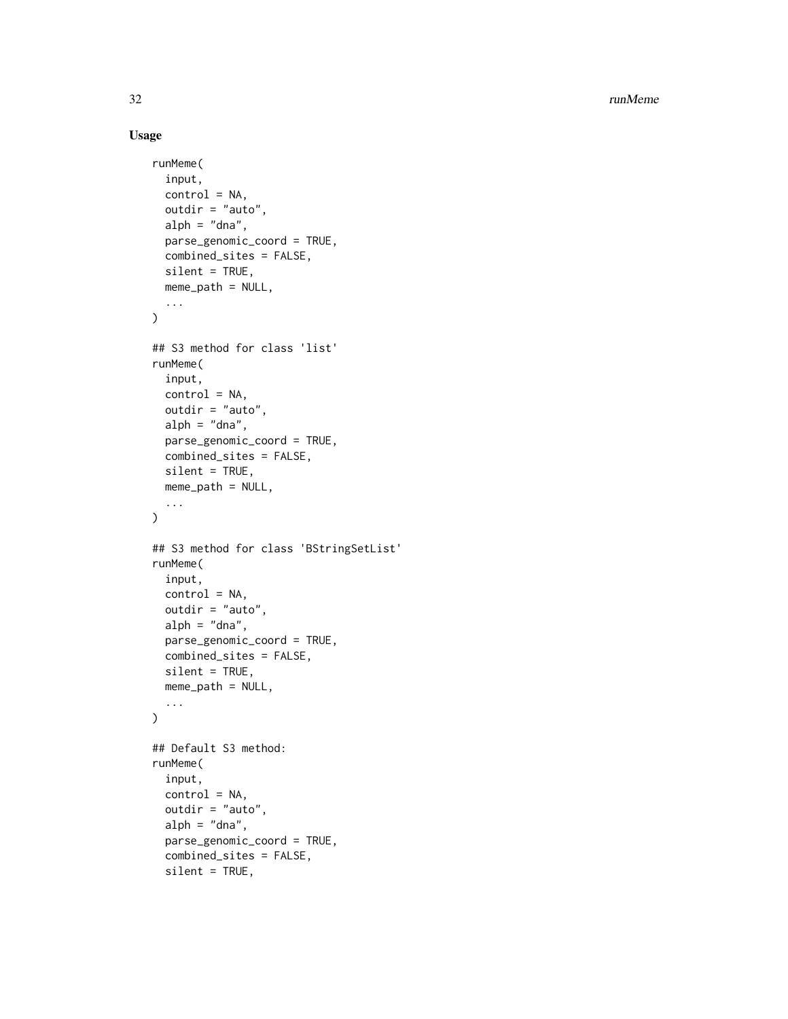32 runMeme

#### Usage

```
runMeme(
  input,
  control = NA,outdir = "auto",
  alph = "dna",
 parse_genomic_coord = TRUE,
 combined_sites = FALSE,
  silent = TRUE,
 meme_path = NULL,
  ...
\mathcal{L}## S3 method for class 'list'
runMeme(
  input,
  control = NA,outdir = "auto",
  alpha',
  parse_genomic_coord = TRUE,
  combined_sites = FALSE,
  silent = TRUE,
 meme_path = NULL,
  ...
\mathcal{L}## S3 method for class 'BStringSetList'
runMeme(
  input,
  control = NA,
  outdir = "auto",
  alpha',
 parse_genomic_coord = TRUE,
  combined_sites = FALSE,
  silent = TRUE,
 meme_path = NULL,
  ...
\mathcal{L}## Default S3 method:
runMeme(
  input,
  control = NA,
 outdir = "auto",
  alpha',
  parse_genomic_coord = TRUE,
  combined_sites = FALSE,
  silent = TRUE,
```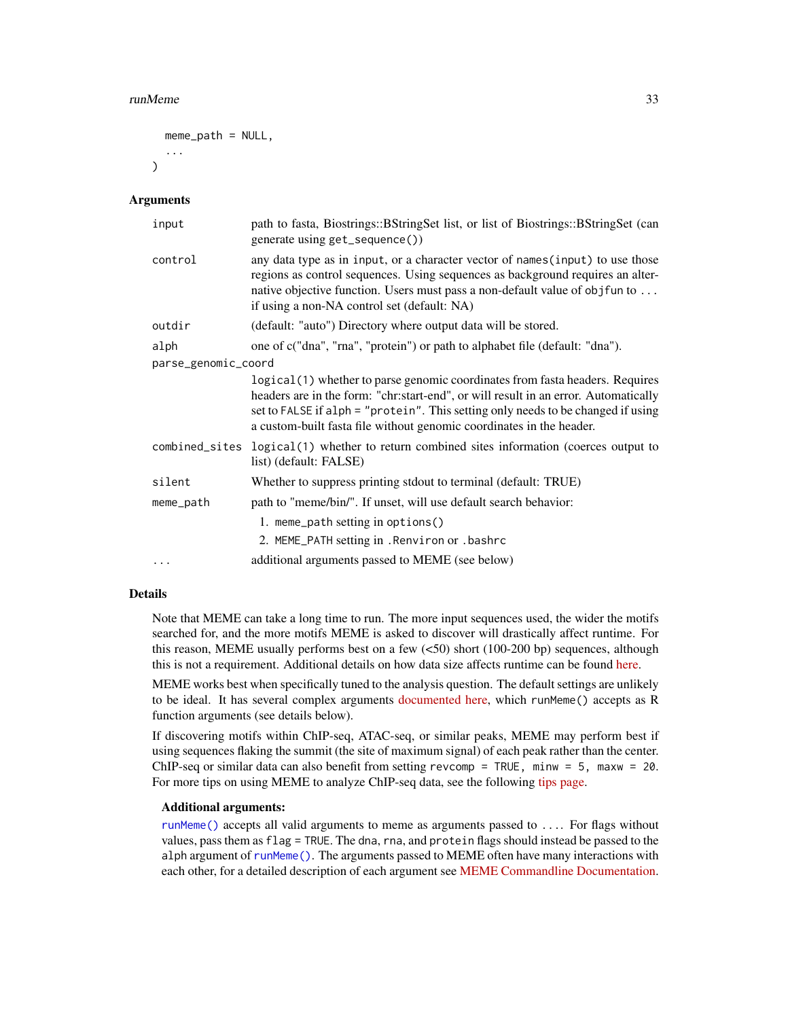#### <span id="page-32-0"></span>runMeme 33

```
meme_path = NULL,
...
```
#### Arguments

 $\lambda$ 

| input               | path to fasta, Biostrings::BStringSet list, or list of Biostrings::BStringSet (can<br>generate using get_sequence())                                                                                                                                                                                                             |  |  |
|---------------------|----------------------------------------------------------------------------------------------------------------------------------------------------------------------------------------------------------------------------------------------------------------------------------------------------------------------------------|--|--|
| control             | any data type as in input, or a character vector of names (input) to use those<br>regions as control sequences. Using sequences as background requires an alter-<br>native objective function. Users must pass a non-default value of objfun to<br>if using a non-NA control set (default: NA)                                   |  |  |
| outdir              | (default: "auto") Directory where output data will be stored.                                                                                                                                                                                                                                                                    |  |  |
| alph                | one of c("dna", "rna", "protein") or path to alphabet file (default: "dna").                                                                                                                                                                                                                                                     |  |  |
| parse_genomic_coord |                                                                                                                                                                                                                                                                                                                                  |  |  |
|                     | logical (1) whether to parse genomic coordinates from fasta headers. Requires<br>headers are in the form: "chr:start-end", or will result in an error. Automatically<br>set to FALSE if alph = "protein". This setting only needs to be changed if using<br>a custom-built fasta file without genomic coordinates in the header. |  |  |
|                     | combined_sites logical(1) whether to return combined sites information (coerces output to<br>list) (default: FALSE)                                                                                                                                                                                                              |  |  |
| silent              | Whether to suppress printing stdout to terminal (default: TRUE)                                                                                                                                                                                                                                                                  |  |  |
| meme_path           | path to "meme/bin/". If unset, will use default search behavior:                                                                                                                                                                                                                                                                 |  |  |
|                     | 1. meme_path setting in options()<br>2. MEME_PATH setting in . Renviron or . bashrc                                                                                                                                                                                                                                              |  |  |
| $\cdots$            | additional arguments passed to MEME (see below)                                                                                                                                                                                                                                                                                  |  |  |

#### Details

Note that MEME can take a long time to run. The more input sequences used, the wider the motifs searched for, and the more motifs MEME is asked to discover will drastically affect runtime. For this reason, MEME usually performs best on a few (<50) short (100-200 bp) sequences, although this is not a requirement. Additional details on how data size affects runtime can be found [here.](https://groups.google.com/g/meme-suite/c/7b7PBr6RzJk)

MEME works best when specifically tuned to the analysis question. The default settings are unlikely to be ideal. It has several complex arguments [documented here,](http://meme-suite.org/doc/meme.html) which runMeme() accepts as R function arguments (see details below).

If discovering motifs within ChIP-seq, ATAC-seq, or similar peaks, MEME may perform best if using sequences flaking the summit (the site of maximum signal) of each peak rather than the center. ChIP-seq or similar data can also benefit from setting revcomp = TRUE, minw =  $5$ , maxw =  $20$ . For more tips on using MEME to analyze ChIP-seq data, see the following [tips page.](https://groups.google.com/forum/#%21topic/meme-suite/rIbjIHbcpAE)

#### Additional arguments:

[runMeme\(\)](#page-30-1) accepts all valid arguments to meme as arguments passed to .... For flags without values, pass them as flag = TRUE. The dna, rna, and protein flags should instead be passed to the alph argument of [runMeme\(\)](#page-30-1). The arguments passed to MEME often have many interactions with each other, for a detailed description of each argument see [MEME Commandline Documentation.](meme-suite.org/doc/meme.html)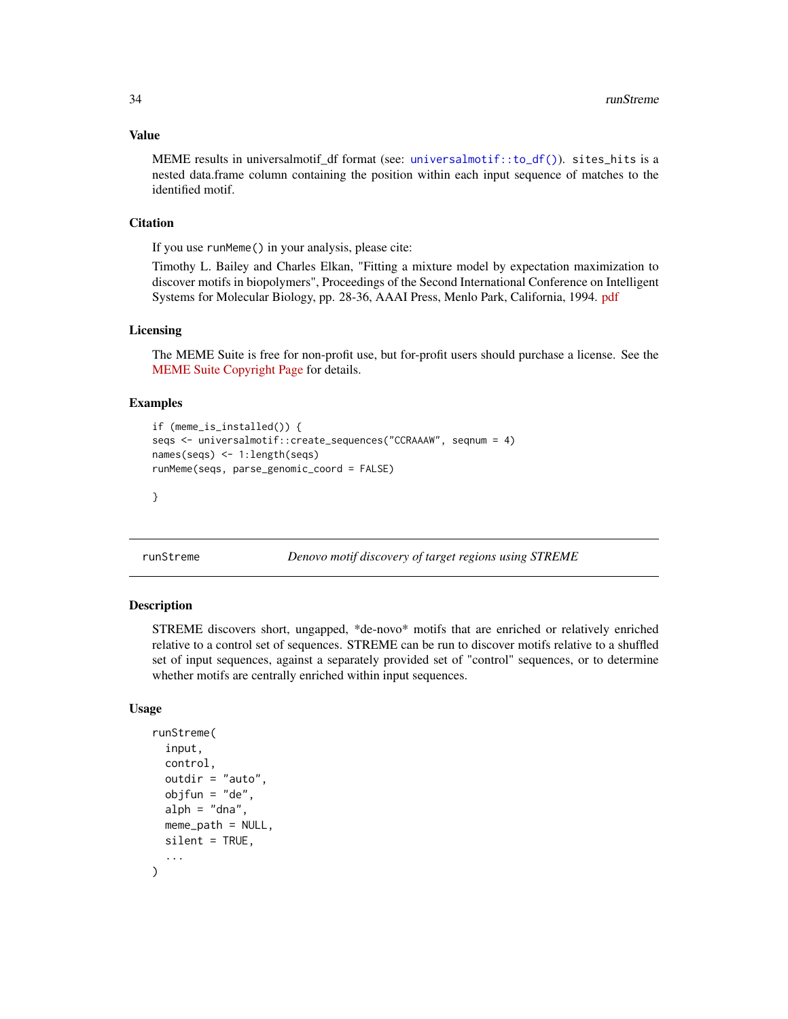#### Value

MEME results in universalmotif df format (see: [universalmotif::to\\_df\(\)](#page-0-0)). sites\_hits is a nested data.frame column containing the position within each input sequence of matches to the identified motif.

#### **Citation**

If you use runMeme() in your analysis, please cite:

Timothy L. Bailey and Charles Elkan, "Fitting a mixture model by expectation maximization to discover motifs in biopolymers", Proceedings of the Second International Conference on Intelligent Systems for Molecular Biology, pp. 28-36, AAAI Press, Menlo Park, California, 1994. [pdf](https://tlbailey.bitbucket.io/papers/ismb94.pdf)

#### Licensing

The MEME Suite is free for non-profit use, but for-profit users should purchase a license. See the [MEME Suite Copyright Page](http://meme-suite.org/doc/copyright.html) for details.

#### Examples

```
if (meme_is_installed()) {
seqs <- universalmotif::create_sequences("CCRAAAW", seqnum = 4)
names(seqs) <- 1:length(seqs)
runMeme(seqs, parse_genomic_coord = FALSE)
```
}

<span id="page-33-1"></span>runStreme *Denovo motif discovery of target regions using STREME*

#### Description

STREME discovers short, ungapped, \*de-novo\* motifs that are enriched or relatively enriched relative to a control set of sequences. STREME can be run to discover motifs relative to a shuffled set of input sequences, against a separately provided set of "control" sequences, or to determine whether motifs are centrally enriched within input sequences.

#### Usage

```
runStreme(
  input,
  control,
  outdir = "auto",
  objfun = "de",alpha' = "dna",
  meme\_path = NULL,
  silent = TRUE,
  ...
)
```
<span id="page-33-0"></span>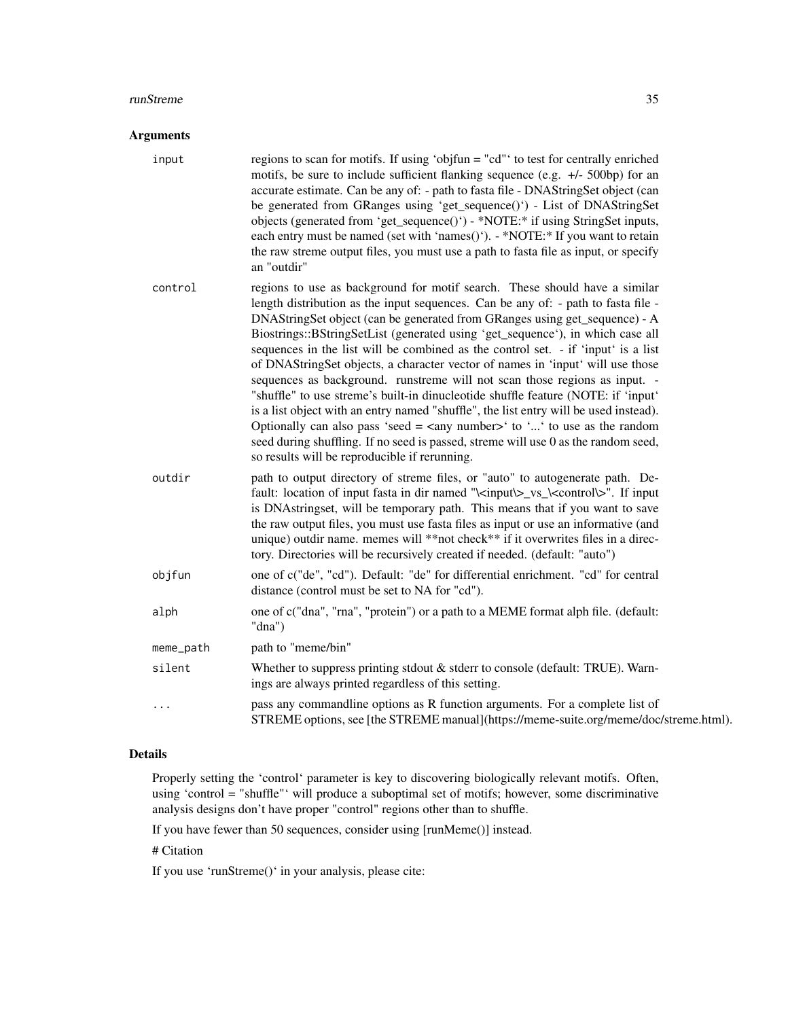#### **runStreme** 35

#### Arguments

- input regions to scan for motifs. If using 'objfun = "cd"' to test for centrally enriched motifs, be sure to include sufficient flanking sequence (e.g. +/- 500bp) for an accurate estimate. Can be any of: - path to fasta file - DNAStringSet object (can be generated from GRanges using 'get\_sequence()') - List of DNAStringSet objects (generated from 'get\_sequence()') - \*NOTE:\* if using StringSet inputs, each entry must be named (set with 'names()'). - \*NOTE: \* If you want to retain the raw streme output files, you must use a path to fasta file as input, or specify an "outdir"
- control regions to use as background for motif search. These should have a similar length distribution as the input sequences. Can be any of: - path to fasta file - DNAStringSet object (can be generated from GRanges using get\_sequence) - A Biostrings::BStringSetList (generated using 'get\_sequence'), in which case all sequences in the list will be combined as the control set. - if 'input' is a list of DNAStringSet objects, a character vector of names in 'input' will use those sequences as background. runstreme will not scan those regions as input. - "shuffle" to use streme's built-in dinucleotide shuffle feature (NOTE: if 'input' is a list object with an entry named "shuffle", the list entry will be used instead). Optionally can also pass 'seed  $=$  <any number  $>$ ' to '...' to use as the random seed during shuffling. If no seed is passed, streme will use 0 as the random seed, so results will be reproducible if rerunning.
- outdir path to output directory of streme files, or "auto" to autogenerate path. Default: location of input fasta in dir named "\<input\>\_vs\_\<control\>". If input is DNAstringset, will be temporary path. This means that if you want to save the raw output files, you must use fasta files as input or use an informative (and unique) outdir name. memes will \*\*not check\*\* if it overwrites files in a directory. Directories will be recursively created if needed. (default: "auto")
- objfun one of c("de", "cd"). Default: "de" for differential enrichment. "cd" for central distance (control must be set to NA for "cd").
- alph one of c("dna", "rna", "protein") or a path to a MEME format alph file. (default: "dna")
- meme\_path path to "meme/bin" silent Whether to suppress printing stdout & stderr to console (default: TRUE). Warnings are always printed regardless of this setting. pass any commandline options as R function arguments. For a complete list of STREME options, see [the STREME manual](https://meme-suite.org/meme/doc/streme.html).

#### Details

Properly setting the 'control' parameter is key to discovering biologically relevant motifs. Often, using 'control = "shuffle"' will produce a suboptimal set of motifs; however, some discriminative analysis designs don't have proper "control" regions other than to shuffle.

If you have fewer than 50 sequences, consider using [runMeme()] instead.

# Citation

If you use 'runStreme()' in your analysis, please cite: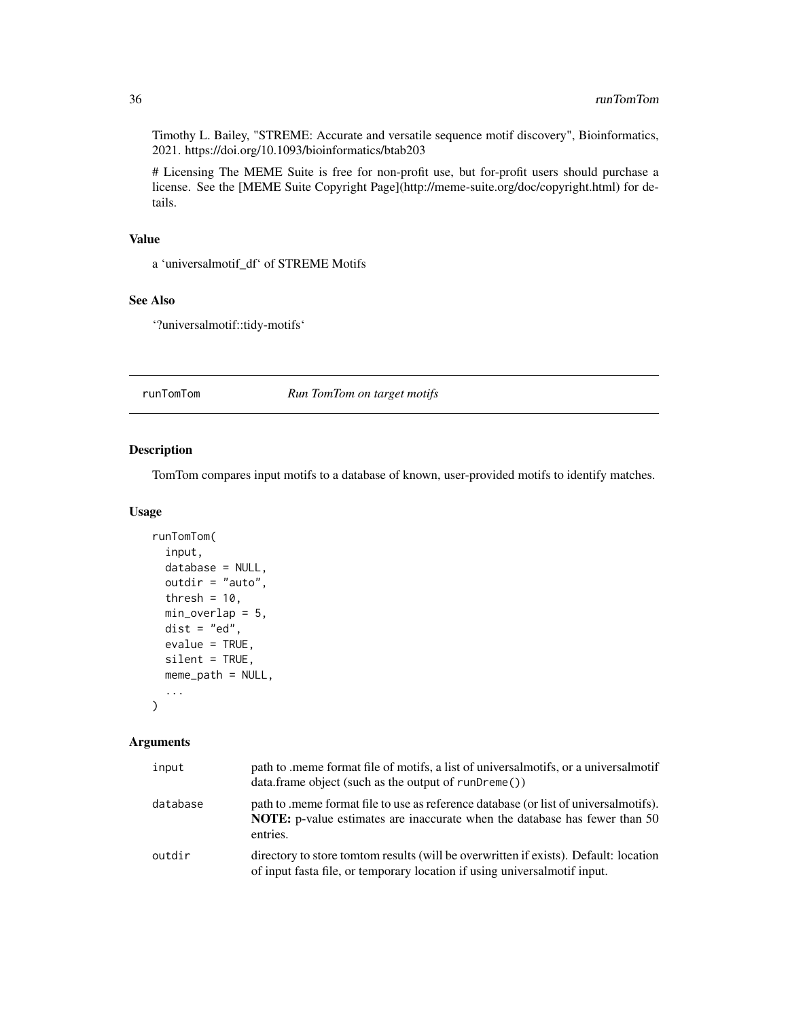<span id="page-35-0"></span>Timothy L. Bailey, "STREME: Accurate and versatile sequence motif discovery", Bioinformatics, 2021. https://doi.org/10.1093/bioinformatics/btab203

# Licensing The MEME Suite is free for non-profit use, but for-profit users should purchase a license. See the [MEME Suite Copyright Page](http://meme-suite.org/doc/copyright.html) for details.

#### Value

a 'universalmotif\_df' of STREME Motifs

#### See Also

'?universalmotif::tidy-motifs'

runTomTom *Run TomTom on target motifs*

#### Description

TomTom compares input motifs to a database of known, user-provided motifs to identify matches.

#### Usage

```
runTomTom(
  input,
  database = NULL,
 outdir = "auto",
  thresh = 10,
 min\_overlap = 5,
 dist = "ed",evalue = TRUE,
 silent = TRUE,
 meme_path = NULL,
  ...
)
```
#### Arguments

| input    | path to meme format file of motifs, a list of universal motifs, or a universal motif<br>$data$ : frame object (such as the output of runDreme())                               |
|----------|--------------------------------------------------------------------------------------------------------------------------------------------------------------------------------|
| database | path to meme format file to use as reference database (or list of universal motifs).<br>NOTE: p-value estimates are inaccurate when the database has fewer than 50<br>entries. |
| outdir   | directory to store tomtom results (will be overwritten if exists). Default: location<br>of input fasta file, or temporary location if using universal motif input.             |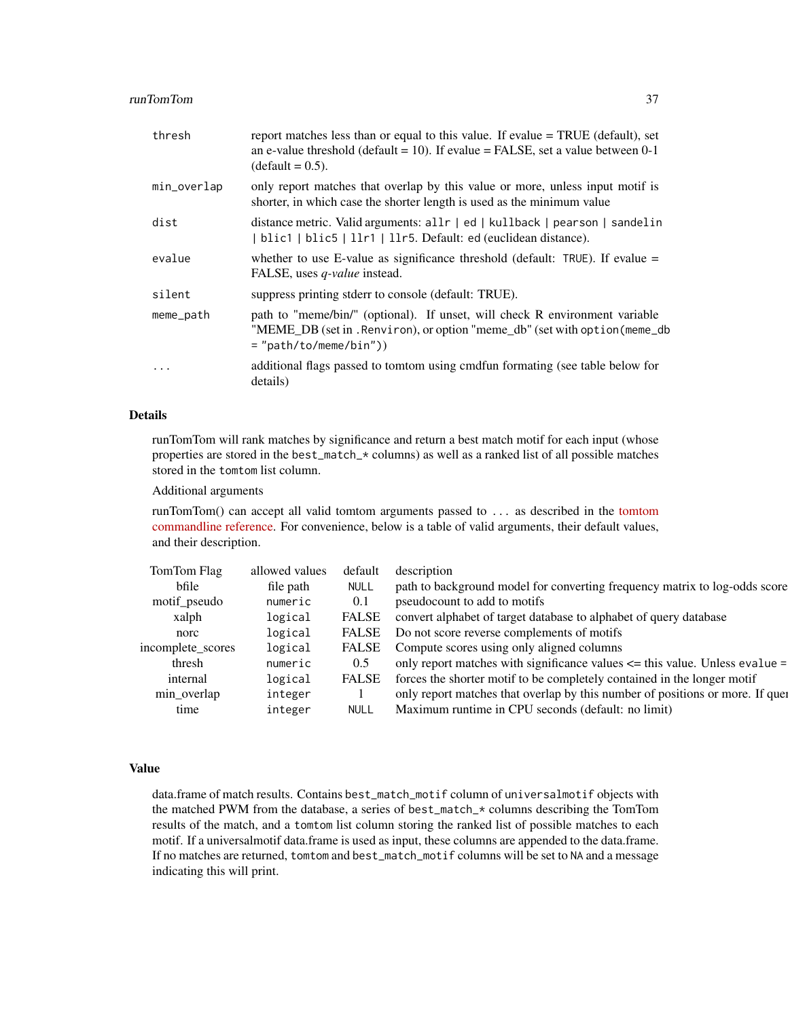#### runTomTom 37

| thresh      | report matches less than or equal to this value. If evalue = TRUE (default), set<br>an e-value threshold (default = 10). If evalue = FALSE, set a value between $0-1$<br>$(detault = 0.5)$ . |
|-------------|----------------------------------------------------------------------------------------------------------------------------------------------------------------------------------------------|
| min_overlap | only report matches that overlap by this value or more, unless input motif is<br>shorter, in which case the shorter length is used as the minimum value                                      |
| dist        | distance metric. Valid arguments: all r   ed   kullback   pearson   sandelin<br>  blic1   blic5   llr1   llr5. Default: ed (euclidean distance).                                             |
| evalue      | whether to use E-value as significance threshold (default: $TRUE$ ). If evalue =<br>FALSE, uses <i>q-value</i> instead.                                                                      |
| silent      | suppress printing stderr to console (default: TRUE).                                                                                                                                         |
| meme_path   | path to "meme/bin/" (optional). If unset, will check R environment variable<br>"MEME_DB (set in . Renviron), or option "meme_db" (set with option (meme_db)<br>$=$ "path/to/meme/bin" $)$    |
| $\ddots$ .  | additional flags passed to tomom using cmdfun formating (see table below for<br>details)                                                                                                     |

#### Details

runTomTom will rank matches by significance and return a best match motif for each input (whose properties are stored in the best\_match\_\* columns) as well as a ranked list of all possible matches stored in the tomtom list column.

#### Additional arguments

runTomTom() can accept all valid tomtom arguments passed to ... as described in the [tomtom](http://meme-suite.org/doc/tomtom.html?man_type=web) [commandline reference.](http://meme-suite.org/doc/tomtom.html?man_type=web) For convenience, below is a table of valid arguments, their default values, and their description.

| TomTom Flag       | allowed values | default      | description                                                                     |
|-------------------|----------------|--------------|---------------------------------------------------------------------------------|
| bfile             | file path      | <b>NULL</b>  | path to background model for converting frequency matrix to log-odds score      |
| motif_pseudo      | numeric        | 0.1          | pseudocount to add to motifs                                                    |
| xalph             | logical        | FALSE        | convert alphabet of target database to alphabet of query database               |
| norc              | logical        | FALSE        | Do not score reverse complements of motifs                                      |
| incomplete scores | logical        | FALSE        | Compute scores using only aligned columns                                       |
| thresh            | numeric        | 0.5          | only report matches with significance values $\leq$ this value. Unless evalue = |
| internal          | logical        | <b>FALSE</b> | forces the shorter motif to be completely contained in the longer motif         |
| min_overlap       | integer        |              | only report matches that overlap by this number of positions or more. If quer   |
| time              | integer        | <b>NULL</b>  | Maximum runtime in CPU seconds (default: no limit)                              |

#### Value

data.frame of match results. Contains best\_match\_motif column of universalmotif objects with the matched PWM from the database, a series of best\_match\_\* columns describing the TomTom results of the match, and a tomtom list column storing the ranked list of possible matches to each motif. If a universalmotif data.frame is used as input, these columns are appended to the data.frame. If no matches are returned, tomtom and best\_match\_motif columns will be set to NA and a message indicating this will print.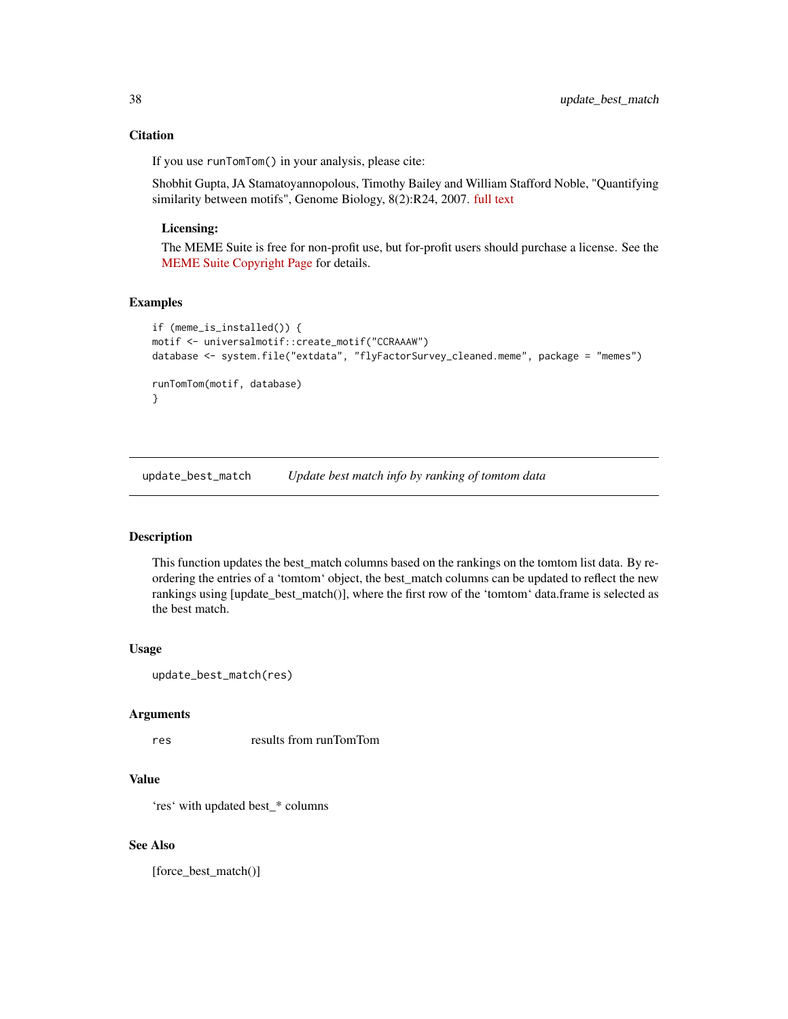#### <span id="page-37-0"></span>**Citation**

If you use runTomTom() in your analysis, please cite:

Shobhit Gupta, JA Stamatoyannopolous, Timothy Bailey and William Stafford Noble, "Quantifying similarity between motifs", Genome Biology, 8(2):R24, 2007. [full text](http://genomebiology.com/2007/8/2/R24)

#### Licensing:

The MEME Suite is free for non-profit use, but for-profit users should purchase a license. See the [MEME Suite Copyright Page](http://meme-suite.org/doc/copyright.html) for details.

#### Examples

```
if (meme_is_installed()) {
motif <- universalmotif::create_motif("CCRAAAW")
database <- system.file("extdata", "flyFactorSurvey_cleaned.meme", package = "memes")
runTomTom(motif, database)
}
```
update\_best\_match *Update best match info by ranking of tomtom data*

#### Description

This function updates the best\_match columns based on the rankings on the tomtom list data. By reordering the entries of a 'tomtom' object, the best\_match columns can be updated to reflect the new rankings using [update\_best\_match()], where the first row of the 'tomtom' data.frame is selected as the best match.

#### Usage

```
update_best_match(res)
```
#### Arguments

res results from runTomTom

#### Value

'res' with updated best\_\* columns

#### See Also

[force\_best\_match()]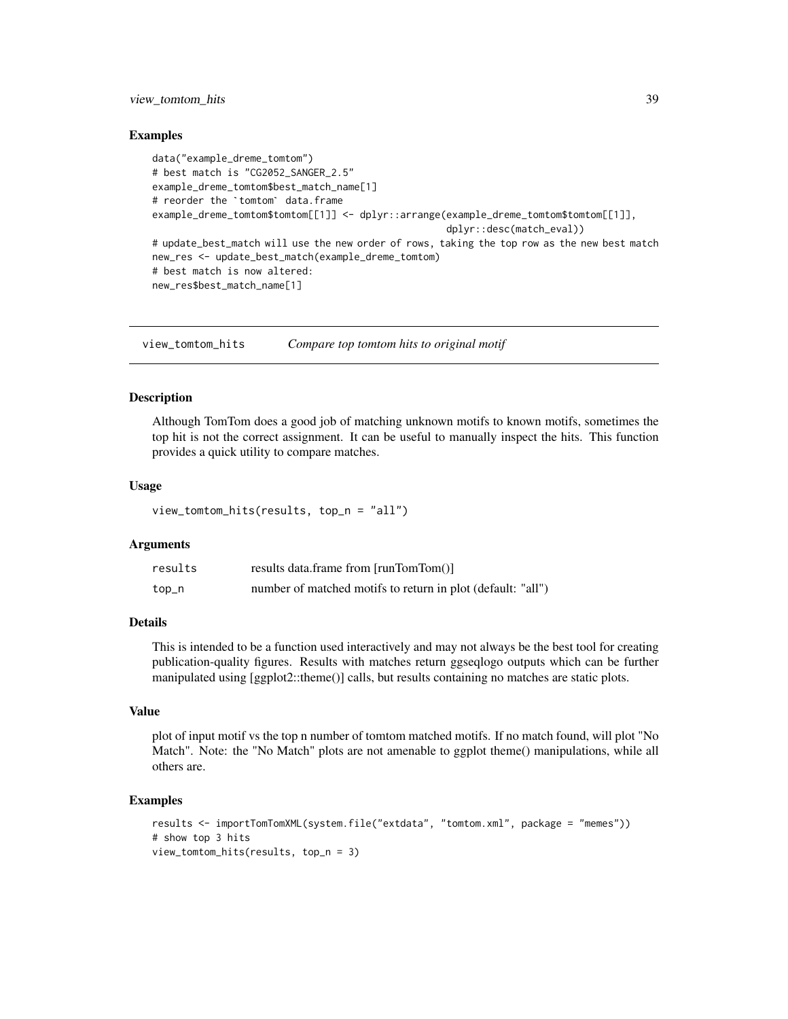#### <span id="page-38-0"></span>view\_tomtom\_hits 39

#### Examples

```
data("example_dreme_tomtom")
# best match is "CG2052_SANGER_2.5"
example_dreme_tomtom$best_match_name[1]
data("example_dreme_tomtom")<br># best match is "CG2052_SANGER_2.<br>example_dreme_tomtom$best_match_n<br># reorder the `tomtom` data.frame
example_dreme_tomtom$tomtom[[1]] <- dplyr::arrange(example_dreme_tomtom$tomtom[[1]],
                                                                dplyr::desc(match_eval))
# update_best_match will use the new order of rows, taking the top row as the new best match
new_res <- update_best_match(example_dreme_tomtom)
# best match is now altered:
new_res$best_match_name[1]
```
view\_tomtom\_hits *Compare top tomtom hits to original motif*

#### Description

Although TomTom does a good job of matching unknown motifs to known motifs, sometimes the top hit is not the correct assignment. It can be useful to manually inspect the hits. This function provides a quick utility to compare matches.

#### Usage

view\_tomtom\_hits(results, top\_n = "all")

#### Arguments

| results | results data.frame from [runTomTom()]                       |
|---------|-------------------------------------------------------------|
| top_n   | number of matched motifs to return in plot (default: "all") |

#### Details

This is intended to be a function used interactively and may not always be the best tool for creating publication-quality figures. Results with matches return ggseqlogo outputs which can be further manipulated using [ggplot2::theme()] calls, but results containing no matches are static plots.

#### Value

plot of input motif vs the top n number of tomtom matched motifs. If no match found, will plot "No Match". Note: the "No Match" plots are not amenable to ggplot theme() manipulations, while all others are.

#### Examples

```
results <- importTomTomXML(system.file("extdata", "tomtom.xml", package = "memes"))
# show top 3 hits
view_tomtom_hits(results, top_n = 3)
```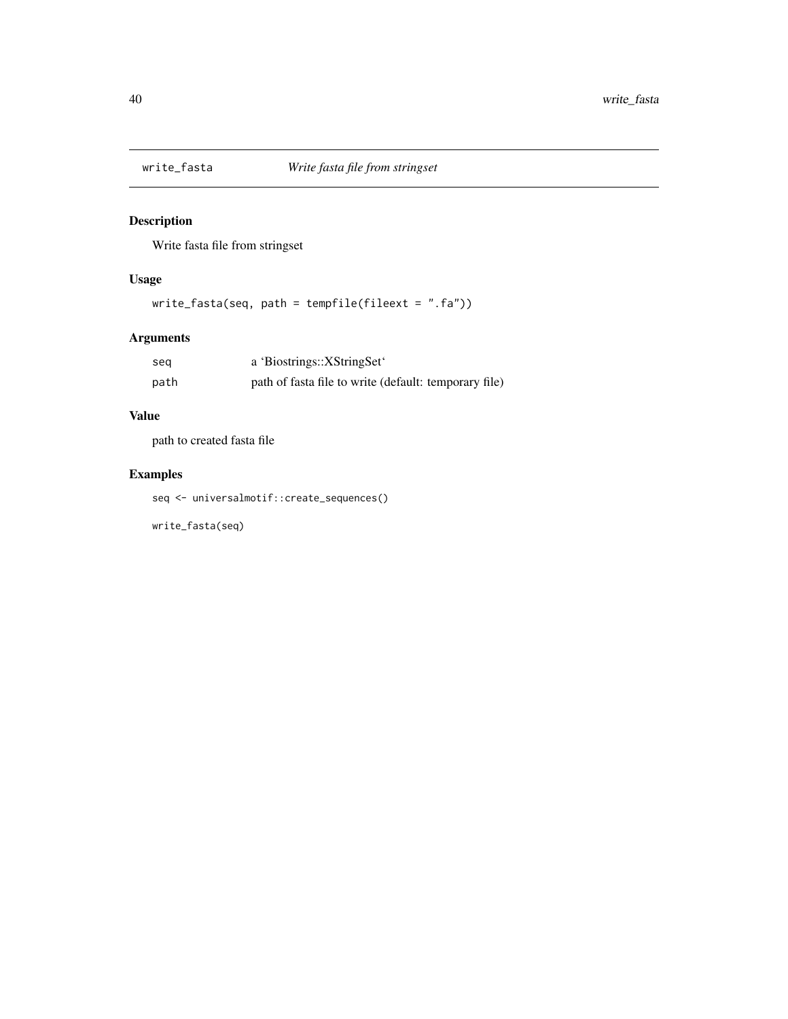<span id="page-39-0"></span>

#### Description

Write fasta file from stringset

#### Usage

```
write_fasta(seq, path = tempfile(fileext = ".fa"))
```
#### Arguments

| seg  | a 'Biostrings::XStringSet'                            |
|------|-------------------------------------------------------|
| path | path of fasta file to write (default: temporary file) |

#### Value

path to created fasta file

#### Examples

seq <- universalmotif::create\_sequences()

write\_fasta(seq)